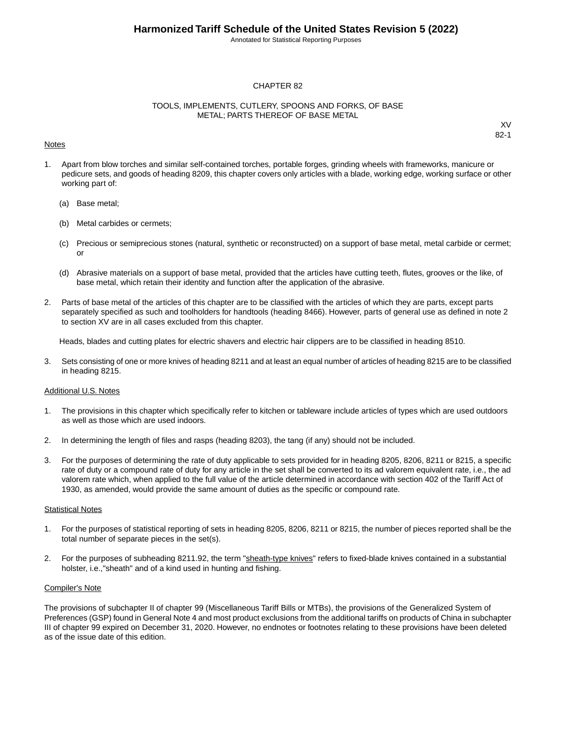Annotated for Statistical Reporting Purposes

#### CHAPTER 82

#### TOOLS, IMPLEMENTS, CUTLERY, SPOONS AND FORKS, OF BASE METAL; PARTS THEREOF OF BASE METAL

#### Notes

XV 82-1

- 1. Apart from blow torches and similar self-contained torches, portable forges, grinding wheels with frameworks, manicure or pedicure sets, and goods of heading 8209, this chapter covers only articles with a blade, working edge, working surface or other working part of:
	- (a) Base metal;
	- (b) Metal carbides or cermets;
	- (c) Precious or semiprecious stones (natural, synthetic or reconstructed) on a support of base metal, metal carbide or cermet; or
	- (d) Abrasive materials on a support of base metal, provided that the articles have cutting teeth, flutes, grooves or the like, of base metal, which retain their identity and function after the application of the abrasive.
- 2. Parts of base metal of the articles of this chapter are to be classified with the articles of which they are parts, except parts separately specified as such and toolholders for handtools (heading 8466). However, parts of general use as defined in note 2 to section XV are in all cases excluded from this chapter.

Heads, blades and cutting plates for electric shavers and electric hair clippers are to be classified in heading 8510.

3. Sets consisting of one or more knives of heading 8211 and at least an equal number of articles of heading 8215 are to be classified in heading 8215.

#### Additional U.S. Notes

- 1. The provisions in this chapter which specifically refer to kitchen or tableware include articles of types which are used outdoors as well as those which are used indoors.
- 2. In determining the length of files and rasps (heading 8203), the tang (if any) should not be included.
- 3. For the purposes of determining the rate of duty applicable to sets provided for in heading 8205, 8206, 8211 or 8215, a specific rate of duty or a compound rate of duty for any article in the set shall be converted to its ad valorem equivalent rate, i.e., the ad valorem rate which, when applied to the full value of the article determined in accordance with section 402 of the Tariff Act of 1930, as amended, would provide the same amount of duties as the specific or compound rate.

#### **Statistical Notes**

- 1. For the purposes of statistical reporting of sets in heading 8205, 8206, 8211 or 8215, the number of pieces reported shall be the total number of separate pieces in the set(s).
- 2. For the purposes of subheading 8211.92, the term "sheath-type knives" refers to fixed-blade knives contained in a substantial holster, i.e.,"sheath" and of a kind used in hunting and fishing.

#### Compiler's Note

The provisions of subchapter II of chapter 99 (Miscellaneous Tariff Bills or MTBs), the provisions of the Generalized System of Preferences (GSP) found in General Note 4 and most product exclusions from the additional tariffs on products of China in subchapter III of chapter 99 expired on December 31, 2020. However, no endnotes or footnotes relating to these provisions have been deleted as of the issue date of this edition.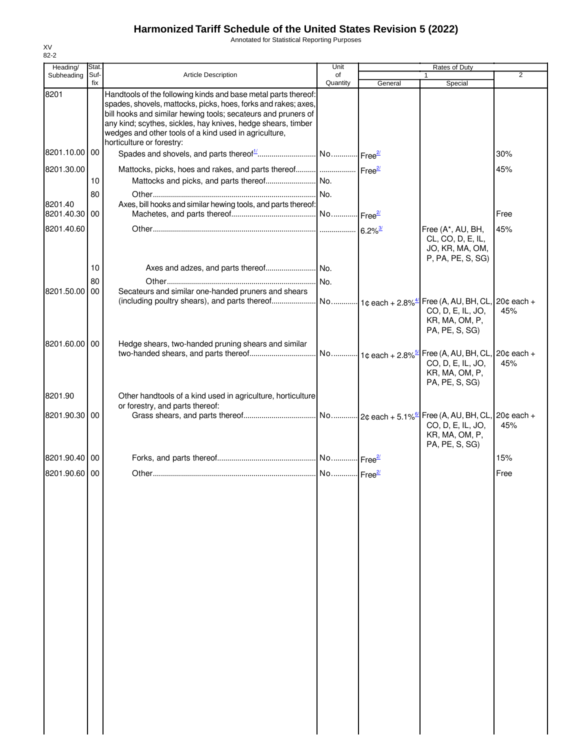Annotated for Statistical Reporting Purposes

| Heading/                 | Stat.       |                                                                                                                                                                                                                                                                                                                            | Unit           |         | Rates of Duty                                                                  |                |
|--------------------------|-------------|----------------------------------------------------------------------------------------------------------------------------------------------------------------------------------------------------------------------------------------------------------------------------------------------------------------------------|----------------|---------|--------------------------------------------------------------------------------|----------------|
| Subheading               | Suf-<br>fix | <b>Article Description</b>                                                                                                                                                                                                                                                                                                 | of<br>Quantity | General | Special                                                                        | $\overline{2}$ |
| 8201                     |             | Handtools of the following kinds and base metal parts thereof:<br>spades, shovels, mattocks, picks, hoes, forks and rakes; axes,<br>bill hooks and similar hewing tools; secateurs and pruners of<br>any kind; scythes, sickles, hay knives, hedge shears, timber<br>wedges and other tools of a kind used in agriculture, |                |         |                                                                                |                |
| 8201.10.00 00            |             | horticulture or forestry:                                                                                                                                                                                                                                                                                                  |                |         |                                                                                | 30%            |
| 8201.30.00               |             | Mattocks, picks, hoes and rakes, and parts thereof     Free <sup>27</sup>                                                                                                                                                                                                                                                  |                |         |                                                                                | 45%            |
|                          | 10          |                                                                                                                                                                                                                                                                                                                            |                |         |                                                                                |                |
| 8201.40<br>8201.40.30 00 | 80          | Axes, bill hooks and similar hewing tools, and parts thereof:                                                                                                                                                                                                                                                              |                |         |                                                                                | Free           |
| 8201.40.60               |             |                                                                                                                                                                                                                                                                                                                            |                |         | Free (A*, AU, BH,<br>CL, CO, D, E, IL,<br>JO, KR, MA, OM,<br>P, PA, PE, S, SG) | 45%            |
|                          | 10          |                                                                                                                                                                                                                                                                                                                            |                |         |                                                                                |                |
| 8201.50.00               | 80<br>00    | Secateurs and similar one-handed pruners and shears                                                                                                                                                                                                                                                                        |                |         |                                                                                |                |
|                          |             |                                                                                                                                                                                                                                                                                                                            |                |         | CO, D, E, IL, JO,<br>KR, MA, OM, P,<br>PA, PE, S, SG)                          | 45%            |
| 8201.60.00 00            |             | Hedge shears, two-handed pruning shears and similar                                                                                                                                                                                                                                                                        |                |         | CO, D, E, IL, JO,<br>KR, MA, OM, P,<br>PA, PE, S, SG)                          | 45%            |
| 8201.90                  |             | Other handtools of a kind used in agriculture, horticulture<br>or forestry, and parts thereof:                                                                                                                                                                                                                             |                |         |                                                                                |                |
| 8201.90.30 00            |             |                                                                                                                                                                                                                                                                                                                            |                |         | CO, D, E, IL, JO,<br>KR, MA, OM, P,<br>PA, PE, S, SG)                          | 45%            |
| 8201.90.40 00            |             |                                                                                                                                                                                                                                                                                                                            |                |         |                                                                                | 15%            |
| 8201.90.60 00            |             |                                                                                                                                                                                                                                                                                                                            |                |         |                                                                                | Free           |
|                          |             |                                                                                                                                                                                                                                                                                                                            |                |         |                                                                                |                |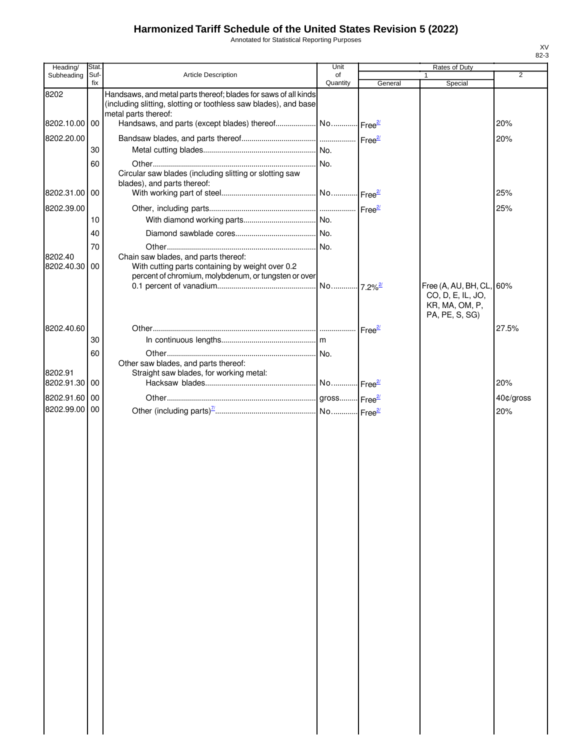Annotated for Statistical Reporting Purposes

| Heading/                 | Stat.       |                                                                                                                                                  | Unit                  |         | Rates of Duty                                                                     |                |
|--------------------------|-------------|--------------------------------------------------------------------------------------------------------------------------------------------------|-----------------------|---------|-----------------------------------------------------------------------------------|----------------|
| Subheading               | Suf-<br>fix | <b>Article Description</b>                                                                                                                       | of<br>Quantity        | General | Special                                                                           | $\overline{2}$ |
| 8202                     |             | Handsaws, and metal parts thereof; blades for saws of all kinds<br>(including slitting, slotting or toothless saw blades), and base              |                       |         |                                                                                   |                |
| 8202.10.00 00            |             | metal parts thereof:                                                                                                                             |                       |         |                                                                                   | 20%            |
| 8202.20.00               |             |                                                                                                                                                  |                       |         |                                                                                   | 20%            |
|                          | 30          |                                                                                                                                                  |                       |         |                                                                                   |                |
|                          | 60          |                                                                                                                                                  |                       |         |                                                                                   |                |
|                          |             | Circular saw blades (including slitting or slotting saw                                                                                          |                       |         |                                                                                   |                |
| 8202.31.00 00            |             | blades), and parts thereof:                                                                                                                      |                       |         |                                                                                   | 25%            |
| 8202.39.00               |             |                                                                                                                                                  |                       |         |                                                                                   | 25%            |
|                          | 10          |                                                                                                                                                  |                       |         |                                                                                   |                |
|                          | 40          |                                                                                                                                                  |                       |         |                                                                                   |                |
|                          | 70          |                                                                                                                                                  |                       |         |                                                                                   |                |
| 8202.40<br>8202.40.30 00 |             | Chain saw blades, and parts thereof:<br>With cutting parts containing by weight over 0.2<br>percent of chromium, molybdenum, or tungsten or over |                       |         |                                                                                   |                |
|                          |             |                                                                                                                                                  | No 7.2% <sup>2/</sup> |         | Free (A, AU, BH, CL, 60%<br>CO, D, E, IL, JO,<br>KR, MA, OM, P,<br>PA, PE, S, SG) |                |
| 8202.40.60               |             |                                                                                                                                                  |                       |         |                                                                                   | 27.5%          |
|                          | 30          |                                                                                                                                                  |                       |         |                                                                                   |                |
|                          | 60          |                                                                                                                                                  |                       |         |                                                                                   |                |
|                          |             | Other saw blades, and parts thereof:                                                                                                             |                       |         |                                                                                   |                |
| 8202.91                  |             | Straight saw blades, for working metal:                                                                                                          |                       |         |                                                                                   |                |
| 8202.91.30 00            |             |                                                                                                                                                  | No Free <sup>2/</sup> |         |                                                                                   | 20%            |
| 8202.91.60 00            |             |                                                                                                                                                  |                       |         |                                                                                   | 40¢/gross      |
| 8202.99.00 00            |             |                                                                                                                                                  |                       |         |                                                                                   | 20%            |
|                          |             |                                                                                                                                                  |                       |         |                                                                                   |                |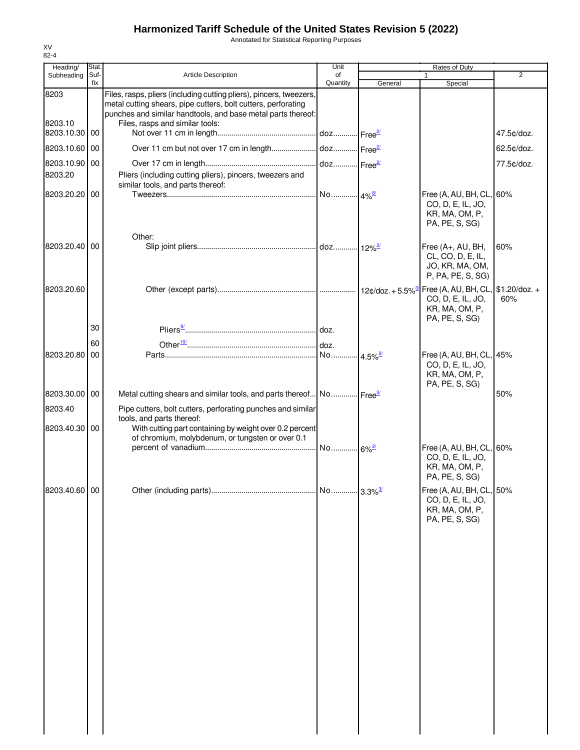Annotated for Statistical Reporting Purposes

| Heading/        | Stat.       |                                                                                                                                                                                                                                         | Unit                   |                        | Rates of Duty                                                                     |                |
|-----------------|-------------|-----------------------------------------------------------------------------------------------------------------------------------------------------------------------------------------------------------------------------------------|------------------------|------------------------|-----------------------------------------------------------------------------------|----------------|
| Subheading      | Suf-<br>fix | <b>Article Description</b>                                                                                                                                                                                                              | of<br>Quantity         | General                | 1<br>Special                                                                      | $\overline{2}$ |
| 8203<br>8203.10 |             | Files, rasps, pliers (including cutting pliers), pincers, tweezers,<br>metal cutting shears, pipe cutters, bolt cutters, perforating<br>punches and similar handtools, and base metal parts thereof:<br>Files, rasps and similar tools: |                        |                        |                                                                                   |                |
| 8203.10.30 00   |             |                                                                                                                                                                                                                                         | doz Free <sup>21</sup> |                        |                                                                                   | 47.5¢/doz.     |
| 8203.10.60      | 00          |                                                                                                                                                                                                                                         |                        |                        |                                                                                   | 62.5¢/doz.     |
| 8203.10.90      | 00          |                                                                                                                                                                                                                                         |                        |                        |                                                                                   | 77.5¢/doz.     |
| 8203.20         |             | Pliers (including cutting pliers), pincers, tweezers and                                                                                                                                                                                |                        |                        |                                                                                   |                |
| 8203.20.20 00   |             | similar tools, and parts thereof:                                                                                                                                                                                                       |                        |                        | Free (A, AU, BH, CL, 60%                                                          |                |
|                 |             | Other:                                                                                                                                                                                                                                  |                        |                        | CO, D, E, IL, JO,<br>KR, MA, OM, P,<br>PA, PE, S, SG)                             |                |
| 8203.20.40 00   |             |                                                                                                                                                                                                                                         |                        |                        | Free (A+, AU, BH,                                                                 | 60%            |
|                 |             |                                                                                                                                                                                                                                         |                        |                        | CL, CO, D, E, IL,<br>JO, KR, MA, OM,<br>P, PA, PE, S, SG)                         |                |
| 8203.20.60      |             |                                                                                                                                                                                                                                         |                        |                        | CO, D, E, IL, JO,<br>KR, MA, OM, P,<br>PA, PE, S, SG)                             | 60%            |
|                 | 30          |                                                                                                                                                                                                                                         |                        |                        |                                                                                   |                |
|                 | 60          |                                                                                                                                                                                                                                         |                        |                        |                                                                                   |                |
| 8203.20.80      | 00          |                                                                                                                                                                                                                                         | .No                    | $-4.5\%$ <sup>2/</sup> | Free (A, AU, BH, CL, 45%<br>CO, D, E, IL, JO,<br>KR, MA, OM, P,<br>PA, PE, S, SG) |                |
| 8203.30.00      | 00          | Metal cutting shears and similar tools, and parts thereof No Free <sup>34</sup>                                                                                                                                                         |                        |                        |                                                                                   | 50%            |
| 8203.40         |             | Pipe cutters, bolt cutters, perforating punches and similar                                                                                                                                                                             |                        |                        |                                                                                   |                |
| 8203.40.30 00   |             | tools, and parts thereof:<br>With cutting part containing by weight over 0.2 percent                                                                                                                                                    |                        |                        |                                                                                   |                |
|                 |             | of chromium, molybdenum, or tungsten or over 0.1                                                                                                                                                                                        |                        |                        |                                                                                   |                |
|                 |             |                                                                                                                                                                                                                                         |                        |                        | Free (A, AU, BH, CL, 60%<br>CO, D, E, IL, JO,<br>KR, MA, OM, P,<br>PA, PE, S, SG) |                |
| 8203.40.60 00   |             |                                                                                                                                                                                                                                         |                        |                        | Free (A, AU, BH, CL, 50%<br>CO, D, E, IL, JO,<br>KR, MA, OM, P,<br>PA, PE, S, SG) |                |
|                 |             |                                                                                                                                                                                                                                         |                        |                        |                                                                                   |                |
|                 |             |                                                                                                                                                                                                                                         |                        |                        |                                                                                   |                |
|                 |             |                                                                                                                                                                                                                                         |                        |                        |                                                                                   |                |
|                 |             |                                                                                                                                                                                                                                         |                        |                        |                                                                                   |                |
|                 |             |                                                                                                                                                                                                                                         |                        |                        |                                                                                   |                |
|                 |             |                                                                                                                                                                                                                                         |                        |                        |                                                                                   |                |
|                 |             |                                                                                                                                                                                                                                         |                        |                        |                                                                                   |                |
|                 |             |                                                                                                                                                                                                                                         |                        |                        |                                                                                   |                |
|                 |             |                                                                                                                                                                                                                                         |                        |                        |                                                                                   |                |
|                 |             |                                                                                                                                                                                                                                         |                        |                        |                                                                                   |                |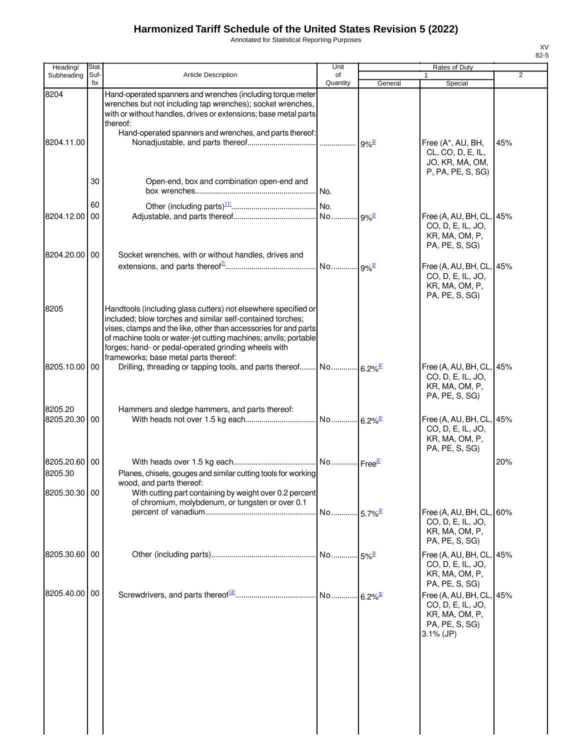Annotated for Statistical Reporting Purposes

| Heading/                                  | Stat.       |                                                                                                                                                                                                                                                                                                                                                                       | Unit                  |                     | Rates of Duty                                                                                     |                |
|-------------------------------------------|-------------|-----------------------------------------------------------------------------------------------------------------------------------------------------------------------------------------------------------------------------------------------------------------------------------------------------------------------------------------------------------------------|-----------------------|---------------------|---------------------------------------------------------------------------------------------------|----------------|
| Subheading                                | Suf-<br>fix | <b>Article Description</b>                                                                                                                                                                                                                                                                                                                                            | of<br>Quantity        | General             | 1<br>Special                                                                                      | $\overline{2}$ |
| 8204<br>8204.11.00                        |             | Hand-operated spanners and wrenches (including torque meter<br>wrenches but not including tap wrenches); socket wrenches,<br>with or without handles, drives or extensions; base metal parts<br>thereof:<br>Hand-operated spanners and wrenches, and parts thereof:                                                                                                   |                       |                     | Free (A*, AU, BH,                                                                                 | 45%            |
|                                           | 30          |                                                                                                                                                                                                                                                                                                                                                                       |                       |                     | CL, CO, D, E, IL,<br>JO, KR, MA, OM,<br>P, PA, PE, S, SG)                                         |                |
|                                           | 60          | Open-end, box and combination open-end and                                                                                                                                                                                                                                                                                                                            |                       |                     |                                                                                                   |                |
| 8204.12.00                                | 00          |                                                                                                                                                                                                                                                                                                                                                                       |                       |                     | Free (A, AU, BH, CL, 45%<br>CO, D, E, IL, JO,<br>KR, MA, OM, P,<br>PA, PE, S, SG)                 |                |
| 8204.20.00 00                             |             | Socket wrenches, with or without handles, drives and                                                                                                                                                                                                                                                                                                                  |                       |                     | Free (A, AU, BH, CL, 45%<br>CO, D, E, IL, JO,<br>KR, MA, OM, P,<br>PA, PE, S, SG)                 |                |
| 8205                                      |             | Handtools (including glass cutters) not elsewhere specified or<br>included; blow torches and similar self-contained torches;<br>vises, clamps and the like, other than accessories for and parts<br>of machine tools or water-jet cutting machines; anvils; portable<br>forges; hand- or pedal-operated grinding wheels with<br>frameworks; base metal parts thereof: |                       |                     |                                                                                                   |                |
| 8205.10.00 00<br>8205.20                  |             | Hammers and sledge hammers, and parts thereof:                                                                                                                                                                                                                                                                                                                        |                       |                     | Free (A, AU, BH, CL, 45%<br>CO, D, E, IL, JO,<br>KR, MA, OM, P,<br>PA, PE, S, SG)                 |                |
| 8205.20.30 00                             |             |                                                                                                                                                                                                                                                                                                                                                                       |                       |                     | Free (A, AU, BH, CL, 45%<br>CO, D, E, IL, JO,<br>KR, MA, OM, P,<br>PA, PE, S, SG)                 |                |
| 8205.20.60 00<br>8205.30<br>8205.30.30 00 |             | Planes, chisels, gouges and similar cutting tools for working<br>wood, and parts thereof:<br>With cutting part containing by weight over 0.2 percent                                                                                                                                                                                                                  |                       |                     |                                                                                                   | 20%            |
|                                           |             | of chromium, molybdenum, or tungsten or over 0.1                                                                                                                                                                                                                                                                                                                      | No 5.7% <sup>2/</sup> |                     | Free (A, AU, BH, CL, 60%<br>CO, D, E, IL, JO,<br>KR, MA, OM, P,<br>PA, PE, S, SG)                 |                |
| 8205.30.60 00                             |             |                                                                                                                                                                                                                                                                                                                                                                       |                       | $$ 5% $\frac{2}{2}$ | Free (A, AU, BH, CL, 45%<br>CO, D, E, IL, JO,<br>KR, MA, OM, P,<br>PA, PE, S, SG)                 |                |
| 8205.40.00 00                             |             |                                                                                                                                                                                                                                                                                                                                                                       |                       |                     | Free (A, AU, BH, CL, 45%<br>CO, D, E, IL, JO,<br>KR, MA, OM, P,<br>PA, PE, S, SG)<br>$3.1\%$ (JP) |                |
|                                           |             |                                                                                                                                                                                                                                                                                                                                                                       |                       |                     |                                                                                                   |                |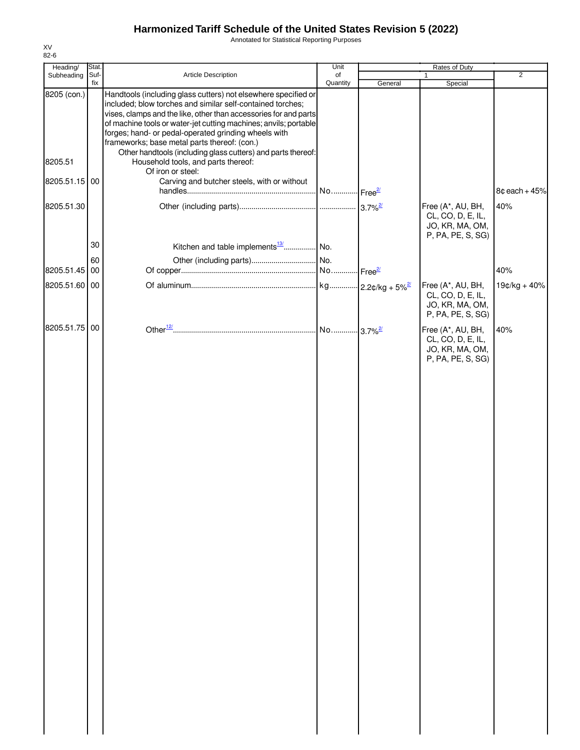Annotated for Statistical Reporting Purposes

| Heading/      | Stat.       |                                                                                                                                                                                                                                                                                                                                                                                                                                              | Unit           | Rates of Duty |                                                                                |                 |
|---------------|-------------|----------------------------------------------------------------------------------------------------------------------------------------------------------------------------------------------------------------------------------------------------------------------------------------------------------------------------------------------------------------------------------------------------------------------------------------------|----------------|---------------|--------------------------------------------------------------------------------|-----------------|
| Subheading    | Suf-<br>fix | Article Description                                                                                                                                                                                                                                                                                                                                                                                                                          | of<br>Quantity |               | 1                                                                              | $\overline{2}$  |
| 8205 (con.)   |             | Handtools (including glass cutters) not elsewhere specified or<br>included; blow torches and similar self-contained torches;<br>vises, clamps and the like, other than accessories for and parts<br>of machine tools or water-jet cutting machines; anvils; portable<br>forges; hand- or pedal-operated grinding wheels with<br>frameworks; base metal parts thereof: (con.)<br>Other handtools (including glass cutters) and parts thereof: |                | General       | Special                                                                        |                 |
| 8205.51       |             | Household tools, and parts thereof:<br>Of iron or steel:                                                                                                                                                                                                                                                                                                                                                                                     |                |               |                                                                                |                 |
| 8205.51.15 00 |             | Carving and butcher steels, with or without                                                                                                                                                                                                                                                                                                                                                                                                  |                |               |                                                                                | $8¢$ each + 45% |
| 8205.51.30    |             |                                                                                                                                                                                                                                                                                                                                                                                                                                              |                |               | Free (A*, AU, BH,<br>CL, CO, D, E, IL,<br>JO, KR, MA, OM,<br>P, PA, PE, S, SG) | 40%             |
|               | 30          | Kitchen and table implements <sup>13/</sup>   No.                                                                                                                                                                                                                                                                                                                                                                                            |                |               |                                                                                |                 |
|               | 60          |                                                                                                                                                                                                                                                                                                                                                                                                                                              |                |               |                                                                                |                 |
| 8205.51.45    | 00          |                                                                                                                                                                                                                                                                                                                                                                                                                                              |                |               |                                                                                | 40%             |
| 8205.51.60 00 |             |                                                                                                                                                                                                                                                                                                                                                                                                                                              |                |               | Free (A*, AU, BH,<br>CL, CO, D, E, IL,<br>JO, KR, MA, OM,<br>P, PA, PE, S, SG) | 19¢/kg + 40%    |
| 8205.51.75 00 |             |                                                                                                                                                                                                                                                                                                                                                                                                                                              |                |               | Free (A*, AU, BH,<br>CL, CO, D, E, IL,<br>JO, KR, MA, OM,<br>P, PA, PE, S, SG) | 40%             |
|               |             |                                                                                                                                                                                                                                                                                                                                                                                                                                              |                |               |                                                                                |                 |
|               |             |                                                                                                                                                                                                                                                                                                                                                                                                                                              |                |               |                                                                                |                 |
|               |             |                                                                                                                                                                                                                                                                                                                                                                                                                                              |                |               |                                                                                |                 |
|               |             |                                                                                                                                                                                                                                                                                                                                                                                                                                              |                |               |                                                                                |                 |
|               |             |                                                                                                                                                                                                                                                                                                                                                                                                                                              |                |               |                                                                                |                 |
|               |             |                                                                                                                                                                                                                                                                                                                                                                                                                                              |                |               |                                                                                |                 |
|               |             |                                                                                                                                                                                                                                                                                                                                                                                                                                              |                |               |                                                                                |                 |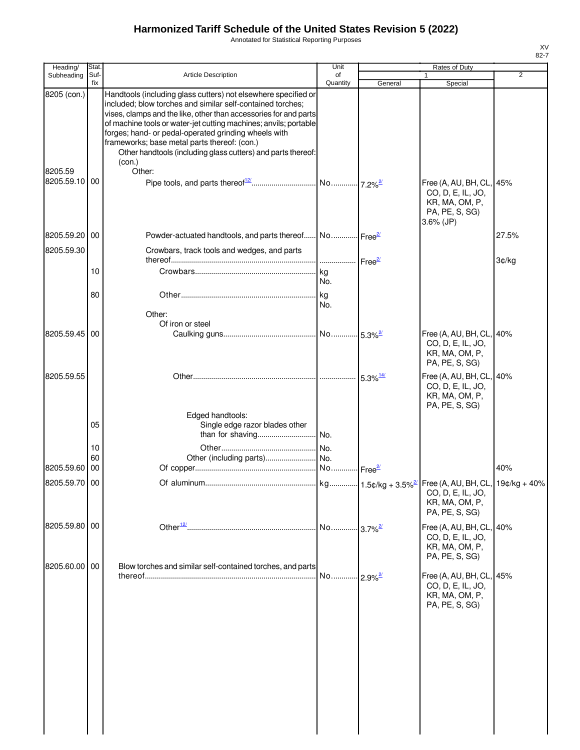Annotated for Statistical Reporting Purposes

| Heading/              | Stat.           |                                                                                                                                                                                                                                                                                                                                                                                                                                                        | Unit                                  |                                  | Rates of Duty                                                                                     |                |
|-----------------------|-----------------|--------------------------------------------------------------------------------------------------------------------------------------------------------------------------------------------------------------------------------------------------------------------------------------------------------------------------------------------------------------------------------------------------------------------------------------------------------|---------------------------------------|----------------------------------|---------------------------------------------------------------------------------------------------|----------------|
| Subheading            | Suf-<br>fix     | <b>Article Description</b>                                                                                                                                                                                                                                                                                                                                                                                                                             | of<br>Quantity                        | General                          | Special                                                                                           | $\overline{2}$ |
| 8205 (con.)           |                 | Handtools (including glass cutters) not elsewhere specified or<br>included; blow torches and similar self-contained torches;<br>vises, clamps and the like, other than accessories for and parts<br>of machine tools or water-jet cutting machines; anvils; portable<br>forges; hand- or pedal-operated grinding wheels with<br>frameworks; base metal parts thereof: (con.)<br>Other handtools (including glass cutters) and parts thereof:<br>(con.) |                                       |                                  |                                                                                                   |                |
| 8205.59<br>8205.59.10 | $\overline{00}$ | Other:                                                                                                                                                                                                                                                                                                                                                                                                                                                 |                                       |                                  | Free (A, AU, BH, CL, 45%<br>CO, D, E, IL, JO,<br>KR, MA, OM, P,<br>PA, PE, S, SG)<br>$3.6\%$ (JP) |                |
| 8205.59.20 00         |                 | Powder-actuated handtools, and parts thereof No Free <sup>27</sup>                                                                                                                                                                                                                                                                                                                                                                                     |                                       |                                  |                                                                                                   | 27.5%          |
| 8205.59.30            |                 | Crowbars, track tools and wedges, and parts                                                                                                                                                                                                                                                                                                                                                                                                            |                                       |                                  |                                                                                                   |                |
|                       |                 |                                                                                                                                                                                                                                                                                                                                                                                                                                                        | ------------------ Free <sup>2/</sup> |                                  |                                                                                                   | 3¢/kg          |
|                       | 10              |                                                                                                                                                                                                                                                                                                                                                                                                                                                        | kg<br>No.                             |                                  |                                                                                                   |                |
|                       | 80              | Other:                                                                                                                                                                                                                                                                                                                                                                                                                                                 | kg<br>No.                             |                                  |                                                                                                   |                |
|                       |                 | Of iron or steel                                                                                                                                                                                                                                                                                                                                                                                                                                       |                                       |                                  |                                                                                                   |                |
| 8205.59.45 00         |                 |                                                                                                                                                                                                                                                                                                                                                                                                                                                        |                                       |                                  | Free (A, AU, BH, CL, 40%<br>CO, D, E, IL, JO,<br>KR, MA, OM, P,<br>PA, PE, S, SG)                 |                |
| 8205.59.55            |                 |                                                                                                                                                                                                                                                                                                                                                                                                                                                        |                                       | $5.3\%$ <sup>14/</sup>           | Free (A, AU, BH, CL, 40%<br>CO, D, E, IL, JO,<br>KR, MA, OM, P,<br>PA, PE, S, SG)                 |                |
|                       | 05              | Edged handtools:<br>Single edge razor blades other<br>than for shaving                                                                                                                                                                                                                                                                                                                                                                                 | No.                                   |                                  |                                                                                                   |                |
|                       | 10              |                                                                                                                                                                                                                                                                                                                                                                                                                                                        | No.                                   |                                  |                                                                                                   |                |
|                       | 60              |                                                                                                                                                                                                                                                                                                                                                                                                                                                        |                                       |                                  |                                                                                                   |                |
| 8205.59.60 00         |                 |                                                                                                                                                                                                                                                                                                                                                                                                                                                        | No                                    | $\frac{2}{ }$ Free <sup>2/</sup> |                                                                                                   | 40%            |
| 8205.59.70 00         |                 |                                                                                                                                                                                                                                                                                                                                                                                                                                                        |                                       |                                  | CO, D, E, IL, JO,<br>KR, MA, OM, P,<br>PA, PE, S, SG)                                             |                |
| 8205.59.80 00         |                 |                                                                                                                                                                                                                                                                                                                                                                                                                                                        | No                                    | $-3.7\%$ <sup>2/</sup>           | Free (A, AU, BH, CL, 40%<br>CO, D, E, IL, JO,<br>KR, MA, OM, P,<br>PA, PE, S, SG)                 |                |
| 8205.60.00 00         |                 | Blow torches and similar self-contained torches, and parts                                                                                                                                                                                                                                                                                                                                                                                             | No                                    | $12.9\%$ <sup>2/</sup>           | Free (A, AU, BH, CL, 45%<br>CO, D, E, IL, JO,<br>KR, MA, OM, P,<br>PA, PE, S, SG)                 |                |
|                       |                 |                                                                                                                                                                                                                                                                                                                                                                                                                                                        |                                       |                                  |                                                                                                   |                |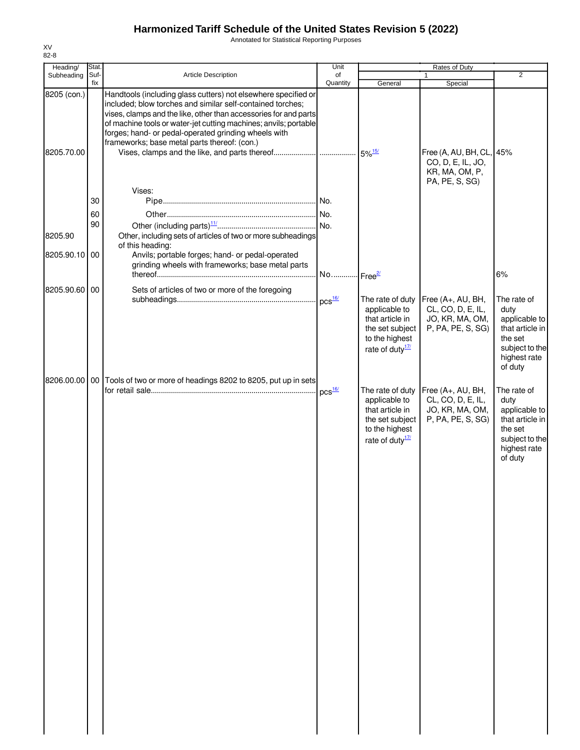Annotated for Statistical Reporting Purposes

| Stat. |                                                                                                                                                                                                                                      | Unit                                                                                                                                             |                                                                                                                                                                                                                                                                                                  | Rates of Duty                                                         |                                                                                                                 |
|-------|--------------------------------------------------------------------------------------------------------------------------------------------------------------------------------------------------------------------------------------|--------------------------------------------------------------------------------------------------------------------------------------------------|--------------------------------------------------------------------------------------------------------------------------------------------------------------------------------------------------------------------------------------------------------------------------------------------------|-----------------------------------------------------------------------|-----------------------------------------------------------------------------------------------------------------|
|       |                                                                                                                                                                                                                                      |                                                                                                                                                  |                                                                                                                                                                                                                                                                                                  | 1                                                                     | $\overline{2}$                                                                                                  |
|       | Handtools (including glass cutters) not elsewhere specified or<br>included; blow torches and similar self-contained torches;<br>forges; hand- or pedal-operated grinding wheels with<br>frameworks; base metal parts thereof: (con.) |                                                                                                                                                  |                                                                                                                                                                                                                                                                                                  | CO, D, E, IL, JO,<br>KR, MA, OM, P,                                   |                                                                                                                 |
|       | Vises:                                                                                                                                                                                                                               |                                                                                                                                                  |                                                                                                                                                                                                                                                                                                  | PA, PE, S, SG)                                                        |                                                                                                                 |
|       |                                                                                                                                                                                                                                      |                                                                                                                                                  |                                                                                                                                                                                                                                                                                                  |                                                                       |                                                                                                                 |
| 60    |                                                                                                                                                                                                                                      |                                                                                                                                                  |                                                                                                                                                                                                                                                                                                  |                                                                       |                                                                                                                 |
| 90    |                                                                                                                                                                                                                                      |                                                                                                                                                  |                                                                                                                                                                                                                                                                                                  |                                                                       |                                                                                                                 |
|       |                                                                                                                                                                                                                                      |                                                                                                                                                  |                                                                                                                                                                                                                                                                                                  |                                                                       |                                                                                                                 |
|       | Anvils; portable forges; hand- or pedal-operated                                                                                                                                                                                     |                                                                                                                                                  |                                                                                                                                                                                                                                                                                                  |                                                                       |                                                                                                                 |
|       |                                                                                                                                                                                                                                      |                                                                                                                                                  |                                                                                                                                                                                                                                                                                                  |                                                                       | 6%                                                                                                              |
|       |                                                                                                                                                                                                                                      |                                                                                                                                                  |                                                                                                                                                                                                                                                                                                  |                                                                       |                                                                                                                 |
|       |                                                                                                                                                                                                                                      |                                                                                                                                                  |                                                                                                                                                                                                                                                                                                  |                                                                       | The rate of                                                                                                     |
|       |                                                                                                                                                                                                                                      |                                                                                                                                                  | applicable to<br>that article in<br>the set subject<br>to the highest<br>rate of duty <sup>17/</sup>                                                                                                                                                                                             | CL, CO, D, E, IL,<br>JO, KR, MA, OM,<br>P, PA, PE, S, SG)             | duty<br>applicable to<br>that article in<br>the set<br>subject to the<br>highest rate<br>of duty                |
|       |                                                                                                                                                                                                                                      |                                                                                                                                                  |                                                                                                                                                                                                                                                                                                  |                                                                       |                                                                                                                 |
|       |                                                                                                                                                                                                                                      |                                                                                                                                                  | applicable to<br>that article in<br>the set subject<br>to the highest<br>rate of duty $\frac{17}{2}$                                                                                                                                                                                             | CL, CO, D, E, IL,<br>JO, KR, MA, OM,<br>P, PA, PE, S, SG)             | The rate of<br>duty<br>applicable to<br>that article in<br>the set<br>subject to the<br>highest rate<br>of duty |
|       | Suf-<br>fix<br>8205 (con.)<br>30<br>8205.90.10 00<br>8205.90.60<br>00<br>8206.00.00                                                                                                                                                  | Article Description<br>of this heading:<br>grinding wheels with frameworks; base metal parts<br>Sets of articles of two or more of the foregoing | of<br>Quantity<br>vises, clamps and the like, other than accessories for and parts<br>of machine tools or water-jet cutting machines; anvils; portable<br>Other, including sets of articles of two or more subheadings<br>No<br>00 Tools of two or more of headings 8202 to 8205, put up in sets | General<br>Free <sup>2/</sup><br>The rate of duty<br>The rate of duty | Special<br>Free (A, AU, BH, CL, 45%<br>Free (A+, AU, BH,<br>Free (A+, AU, BH,                                   |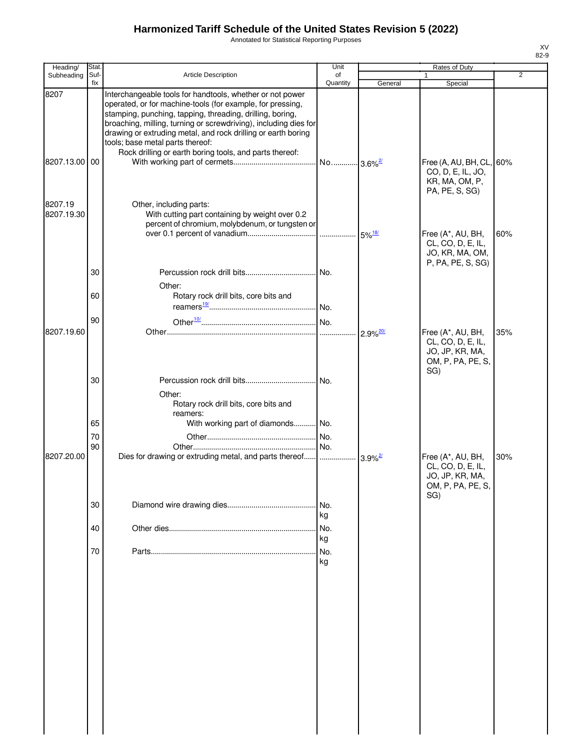Annotated for Statistical Reporting Purposes

| Heading/              | Stat.          |                                                                                                                                                                                                                                                                                                                                                               | Unit             |                        | Rates of Duty                                                                         |                |
|-----------------------|----------------|---------------------------------------------------------------------------------------------------------------------------------------------------------------------------------------------------------------------------------------------------------------------------------------------------------------------------------------------------------------|------------------|------------------------|---------------------------------------------------------------------------------------|----------------|
| Subheading            | Suf-<br>fix    | Article Description                                                                                                                                                                                                                                                                                                                                           | of<br>Quantity   | General                | Special                                                                               | $\overline{2}$ |
| 8207                  |                | Interchangeable tools for handtools, whether or not power<br>operated, or for machine-tools (for example, for pressing,<br>stamping, punching, tapping, threading, drilling, boring,<br>broaching, milling, turning or screwdriving), including dies for<br>drawing or extruding metal, and rock drilling or earth boring<br>tools; base metal parts thereof: |                  |                        |                                                                                       |                |
| 8207.13.00 00         |                | Rock drilling or earth boring tools, and parts thereof:                                                                                                                                                                                                                                                                                                       |                  |                        | Free (A, AU, BH, CL, 60%<br>CO, D, E, IL, JO,<br>KR, MA, OM, P,<br>PA, PE, S, SG)     |                |
| 8207.19<br>8207.19.30 |                | Other, including parts:<br>With cutting part containing by weight over 0.2<br>percent of chromium, molybdenum, or tungsten or                                                                                                                                                                                                                                 |                  |                        | Free (A*, AU, BH,<br>CL, CO, D, E, IL,                                                | 60%            |
|                       | 30             |                                                                                                                                                                                                                                                                                                                                                               |                  |                        | JO, KR, MA, OM,<br>P, PA, PE, S, SG)                                                  |                |
|                       | 60             | Other:<br>Rotary rock drill bits, core bits and                                                                                                                                                                                                                                                                                                               |                  |                        |                                                                                       |                |
| 8207.19.60            | 90             |                                                                                                                                                                                                                                                                                                                                                               | .                | $2.9\%$ <sup>20/</sup> | Free (A*, AU, BH,<br>CL, CO, D, E, IL,<br>JO, JP, KR, MA,<br>OM, P, PA, PE, S,        | 35%            |
|                       | 30             | Other:<br>Rotary rock drill bits, core bits and<br>reamers:                                                                                                                                                                                                                                                                                                   |                  |                        | SG)                                                                                   |                |
|                       | 65<br>70<br>90 | With working part of diamonds No.                                                                                                                                                                                                                                                                                                                             |                  |                        |                                                                                       |                |
| 8207.20.00            |                |                                                                                                                                                                                                                                                                                                                                                               |                  |                        | Free (A*, AU, BH,<br>CL, CO, D, E, IL,<br>JO, JP, KR, MA,<br>OM, P, PA, PE, S,<br>SG) | 30%            |
|                       | 30             |                                                                                                                                                                                                                                                                                                                                                               | No.<br>kg        |                        |                                                                                       |                |
|                       | 40<br>70       |                                                                                                                                                                                                                                                                                                                                                               | No.<br>kg<br>No. |                        |                                                                                       |                |
|                       |                |                                                                                                                                                                                                                                                                                                                                                               | kg               |                        |                                                                                       |                |
|                       |                |                                                                                                                                                                                                                                                                                                                                                               |                  |                        |                                                                                       |                |
|                       |                |                                                                                                                                                                                                                                                                                                                                                               |                  |                        |                                                                                       |                |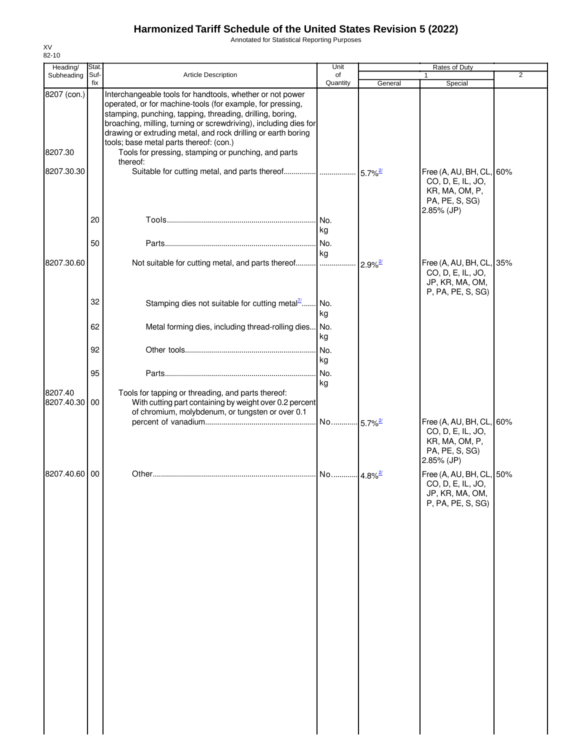Annotated for Statistical Reporting Purposes

| Heading/              | Stat.       |                                                                                                                                                                                                                                                                                                                                                                      | Unit                   |                        | <b>Rates of Duty</b>                                                                            |                |
|-----------------------|-------------|----------------------------------------------------------------------------------------------------------------------------------------------------------------------------------------------------------------------------------------------------------------------------------------------------------------------------------------------------------------------|------------------------|------------------------|-------------------------------------------------------------------------------------------------|----------------|
| Subheading            | Suf-<br>fix | Article Description                                                                                                                                                                                                                                                                                                                                                  | of<br>Quantity         | General                | Special                                                                                         | $\overline{2}$ |
| 8207 (con.)           |             | Interchangeable tools for handtools, whether or not power<br>operated, or for machine-tools (for example, for pressing,<br>stamping, punching, tapping, threading, drilling, boring,<br>broaching, milling, turning or screwdriving), including dies for<br>drawing or extruding metal, and rock drilling or earth boring<br>tools; base metal parts thereof: (con.) |                        |                        |                                                                                                 |                |
| 8207.30               |             | Tools for pressing, stamping or punching, and parts<br>thereof:                                                                                                                                                                                                                                                                                                      |                        |                        |                                                                                                 |                |
| 8207.30.30            |             | Suitable for cutting metal, and parts thereof                                                                                                                                                                                                                                                                                                                        |                        | $5.7\%$ <sup>2/</sup>  | Free (A, AU, BH, CL, 60%<br>CO, D, E, IL, JO,<br>KR, MA, OM, P,<br>PA, PE, S, SG)<br>2.85% (JP) |                |
|                       | 20          |                                                                                                                                                                                                                                                                                                                                                                      | No.<br>kg              |                        |                                                                                                 |                |
|                       | 50          |                                                                                                                                                                                                                                                                                                                                                                      | No.<br>kg              |                        |                                                                                                 |                |
| 8207.30.60            |             | Not suitable for cutting metal, and parts thereof                                                                                                                                                                                                                                                                                                                    |                        | $2.9\%$ <sup>2/</sup>  | Free (A, AU, BH, CL, 35%<br>CO, D, E, IL, JO,<br>JP, KR, MA, OM,<br>P, PA, PE, S, SG)           |                |
|                       | 32          | Stamping dies not suitable for cutting metal $\frac{n}{2}$                                                                                                                                                                                                                                                                                                           | . No.<br>kg            |                        |                                                                                                 |                |
|                       | 62          | Metal forming dies, including thread-rolling dies No.                                                                                                                                                                                                                                                                                                                | kg                     |                        |                                                                                                 |                |
|                       | 92          |                                                                                                                                                                                                                                                                                                                                                                      | No.<br>kg              |                        |                                                                                                 |                |
|                       | 95          |                                                                                                                                                                                                                                                                                                                                                                      | No.<br>kg              |                        |                                                                                                 |                |
| 8207.40<br>8207.40.30 | 00          | Tools for tapping or threading, and parts thereof:<br>With cutting part containing by weight over 0.2 percent<br>of chromium, molybdenum, or tungsten or over 0.1                                                                                                                                                                                                    | . No.                  |                        | Free (A, AU, BH, CL, 60%                                                                        |                |
|                       |             |                                                                                                                                                                                                                                                                                                                                                                      |                        | $-5.7\%$ <sup>2/</sup> | CO, D, E, IL, JO,<br>KR, MA, OM, P,<br>PA, PE, S, SG)<br>2.85% (JP)                             |                |
| 8207.40.60 00         |             |                                                                                                                                                                                                                                                                                                                                                                      | No  4.8% <sup>2/</sup> |                        | Free (A, AU, BH, CL, 50%<br>CO, D, E, IL, JO,<br>JP, KR, MA, OM,<br>P, PA, PE, S, SG)           |                |
|                       |             |                                                                                                                                                                                                                                                                                                                                                                      |                        |                        |                                                                                                 |                |
|                       |             |                                                                                                                                                                                                                                                                                                                                                                      |                        |                        |                                                                                                 |                |
|                       |             |                                                                                                                                                                                                                                                                                                                                                                      |                        |                        |                                                                                                 |                |
|                       |             |                                                                                                                                                                                                                                                                                                                                                                      |                        |                        |                                                                                                 |                |
|                       |             |                                                                                                                                                                                                                                                                                                                                                                      |                        |                        |                                                                                                 |                |
|                       |             |                                                                                                                                                                                                                                                                                                                                                                      |                        |                        |                                                                                                 |                |
|                       |             |                                                                                                                                                                                                                                                                                                                                                                      |                        |                        |                                                                                                 |                |
|                       |             |                                                                                                                                                                                                                                                                                                                                                                      |                        |                        |                                                                                                 |                |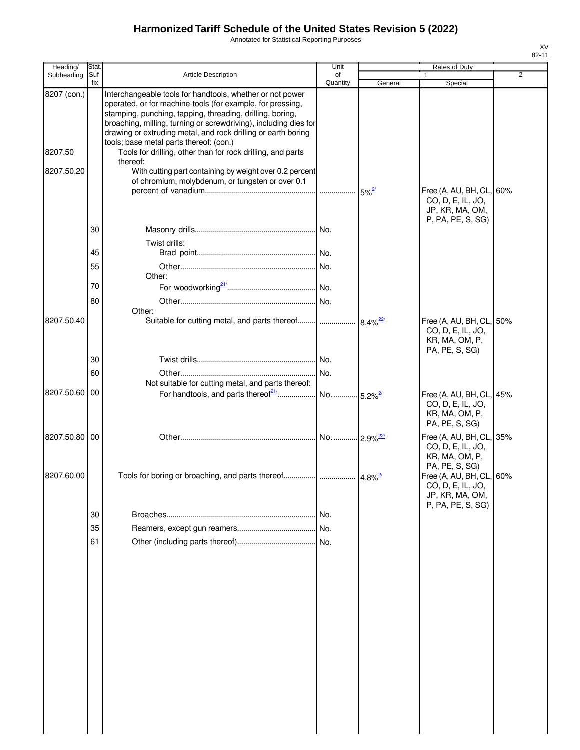Annotated for Statistical Reporting Purposes

| Heading/      | Stat.       |                                                                                                                                                                                                                                                                                                                           | Unit           |                        | <b>Rates of Duty</b>                                                              |                |
|---------------|-------------|---------------------------------------------------------------------------------------------------------------------------------------------------------------------------------------------------------------------------------------------------------------------------------------------------------------------------|----------------|------------------------|-----------------------------------------------------------------------------------|----------------|
| Subheading    | Suf-<br>fix | <b>Article Description</b>                                                                                                                                                                                                                                                                                                | of<br>Quantity | General                | Special                                                                           | $\overline{2}$ |
| 8207 (con.)   |             | Interchangeable tools for handtools, whether or not power<br>operated, or for machine-tools (for example, for pressing,<br>stamping, punching, tapping, threading, drilling, boring,<br>broaching, milling, turning or screwdriving), including dies for<br>drawing or extruding metal, and rock drilling or earth boring |                |                        |                                                                                   |                |
| 8207.50       |             | tools; base metal parts thereof: (con.)<br>Tools for drilling, other than for rock drilling, and parts<br>thereof:                                                                                                                                                                                                        |                |                        |                                                                                   |                |
| 8207.50.20    |             | With cutting part containing by weight over 0.2 percent<br>of chromium, molybdenum, or tungsten or over 0.1                                                                                                                                                                                                               | .              | $5\%^{2/3}$            | Free (A, AU, BH, CL, 60%<br>CO, D, E, IL, JO,                                     |                |
|               |             |                                                                                                                                                                                                                                                                                                                           |                |                        | JP, KR, MA, OM,<br>P, PA, PE, S, SG)                                              |                |
|               | 30          | Twist drills:                                                                                                                                                                                                                                                                                                             |                |                        |                                                                                   |                |
|               | 45<br>55    |                                                                                                                                                                                                                                                                                                                           |                |                        |                                                                                   |                |
|               | 70          | Other:                                                                                                                                                                                                                                                                                                                    |                |                        |                                                                                   |                |
|               | 80          |                                                                                                                                                                                                                                                                                                                           |                |                        |                                                                                   |                |
| 8207.50.40    |             | Other:<br>Suitable for cutting metal, and parts thereof                                                                                                                                                                                                                                                                   |                | $8.4\%$ <sup>22/</sup> | Free (A, AU, BH, CL, 50%<br>CO, D, E, IL, JO,<br>KR, MA, OM, P,<br>PA, PE, S, SG) |                |
|               | 30          |                                                                                                                                                                                                                                                                                                                           |                |                        |                                                                                   |                |
|               | 60          | Not suitable for cutting metal, and parts thereof:                                                                                                                                                                                                                                                                        | No.            |                        |                                                                                   |                |
| 8207.50.60 00 |             | For handtools, and parts thereof <sup>21</sup>                                                                                                                                                                                                                                                                            | No             | $-5.2\%$ <sup>2/</sup> | Free (A, AU, BH, CL, 45%<br>CO, D, E, IL, JO,<br>KR, MA, OM, P,<br>PA, PE, S, SG) |                |
| 8207.50.80 00 |             |                                                                                                                                                                                                                                                                                                                           |                |                        | Free (A, AU, BH, CL, 35%<br>CO, D, E, IL, JO,<br>KR, MA, OM, P,<br>PA, PE, S, SG) |                |
| 8207.60.00    |             |                                                                                                                                                                                                                                                                                                                           |                |                        | Free (A, AU, BH, CL, 60%<br>CO, D, E, IL, JO,<br>JP, KR, MA, OM,                  |                |
|               | 30          |                                                                                                                                                                                                                                                                                                                           | INo.           |                        | P, PA, PE, S, SG)                                                                 |                |
|               | 35          |                                                                                                                                                                                                                                                                                                                           | No.            |                        |                                                                                   |                |
|               | 61          |                                                                                                                                                                                                                                                                                                                           |                |                        |                                                                                   |                |
|               |             |                                                                                                                                                                                                                                                                                                                           |                |                        |                                                                                   |                |
|               |             |                                                                                                                                                                                                                                                                                                                           |                |                        |                                                                                   |                |
|               |             |                                                                                                                                                                                                                                                                                                                           |                |                        |                                                                                   |                |
|               |             |                                                                                                                                                                                                                                                                                                                           |                |                        |                                                                                   |                |
|               |             |                                                                                                                                                                                                                                                                                                                           |                |                        |                                                                                   |                |
|               |             |                                                                                                                                                                                                                                                                                                                           |                |                        |                                                                                   |                |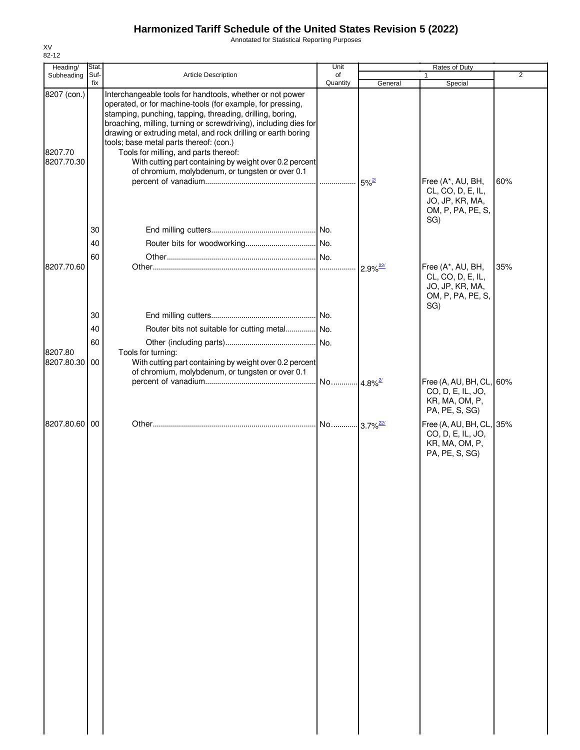Annotated for Statistical Reporting Purposes

| Heading/                             | Stat.       |                                                                                                                                                                                                                                                                                                                                                                                                                                                                                                                              | Unit                  |         | Rates of Duty                                                                         |                |
|--------------------------------------|-------------|------------------------------------------------------------------------------------------------------------------------------------------------------------------------------------------------------------------------------------------------------------------------------------------------------------------------------------------------------------------------------------------------------------------------------------------------------------------------------------------------------------------------------|-----------------------|---------|---------------------------------------------------------------------------------------|----------------|
| Subheading                           | Suf-<br>fix | <b>Article Description</b>                                                                                                                                                                                                                                                                                                                                                                                                                                                                                                   | of<br>Quantity        | General | Special                                                                               | $\overline{2}$ |
| 8207 (con.)<br>8207.70<br>8207.70.30 |             | Interchangeable tools for handtools, whether or not power<br>operated, or for machine-tools (for example, for pressing,<br>stamping, punching, tapping, threading, drilling, boring,<br>broaching, milling, turning or screwdriving), including dies for<br>drawing or extruding metal, and rock drilling or earth boring<br>tools; base metal parts thereof: (con.)<br>Tools for milling, and parts thereof:<br>With cutting part containing by weight over 0.2 percent<br>of chromium, molybdenum, or tungsten or over 0.1 |                       |         |                                                                                       |                |
|                                      | 30<br>40    |                                                                                                                                                                                                                                                                                                                                                                                                                                                                                                                              |                       |         | Free (A*, AU, BH,<br>CL, CO, D, E, IL,<br>JO, JP, KR, MA,<br>OM, P, PA, PE, S,<br>SG) | 60%            |
|                                      | 60          |                                                                                                                                                                                                                                                                                                                                                                                                                                                                                                                              |                       |         |                                                                                       |                |
| 8207.70.60                           |             |                                                                                                                                                                                                                                                                                                                                                                                                                                                                                                                              |                       |         | Free (A*, AU, BH,<br>CL, CO, D, E, IL,<br>JO, JP, KR, MA,<br>OM, P, PA, PE, S,<br>SG) | 35%            |
|                                      | 30          |                                                                                                                                                                                                                                                                                                                                                                                                                                                                                                                              |                       |         |                                                                                       |                |
|                                      | 40          | Router bits not suitable for cutting metal No.                                                                                                                                                                                                                                                                                                                                                                                                                                                                               |                       |         |                                                                                       |                |
|                                      | 60          |                                                                                                                                                                                                                                                                                                                                                                                                                                                                                                                              |                       |         |                                                                                       |                |
| 8207.80<br>8207.80.30                | 00          | Tools for turning:<br>With cutting part containing by weight over 0.2 percent<br>of chromium, molybdenum, or tungsten or over 0.1                                                                                                                                                                                                                                                                                                                                                                                            |                       |         |                                                                                       |                |
|                                      |             |                                                                                                                                                                                                                                                                                                                                                                                                                                                                                                                              | No 4.8% <sup>2/</sup> |         | Free (A, AU, BH, CL, 60%<br>CO, D, E, IL, JO,<br>KR, MA, OM, P,<br>PA, PE, S, SG)     |                |
| 8207.80.60                           | 00          |                                                                                                                                                                                                                                                                                                                                                                                                                                                                                                                              |                       |         | Free (A, AU, BH, CL, 35%<br>CO, D, E, IL, JO,<br>KR, MA, OM, P,<br>PA, PE, S, SG)     |                |
|                                      |             |                                                                                                                                                                                                                                                                                                                                                                                                                                                                                                                              |                       |         |                                                                                       |                |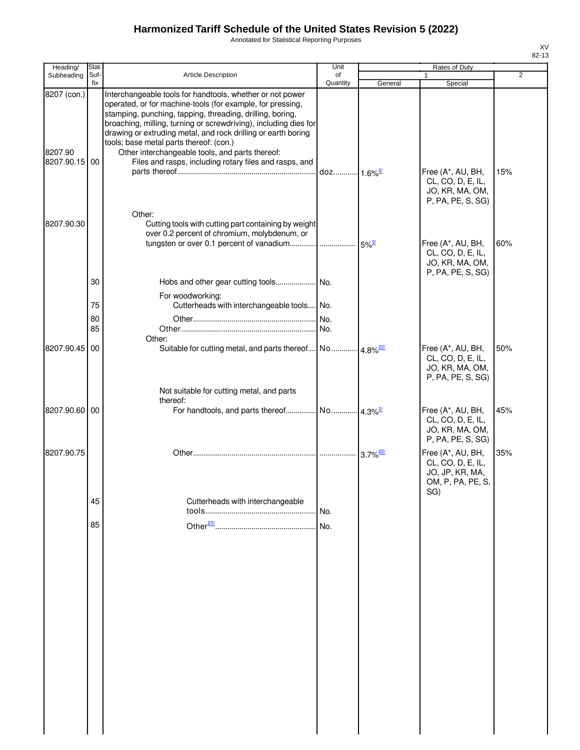Annotated for Statistical Reporting Purposes

| Heading/                                | Stat.                |                                                                                                                                                                                                                                                                                                                                                                                                                                                                                   | Unit           |                        | Rates of Duty                                                                        |                |
|-----------------------------------------|----------------------|-----------------------------------------------------------------------------------------------------------------------------------------------------------------------------------------------------------------------------------------------------------------------------------------------------------------------------------------------------------------------------------------------------------------------------------------------------------------------------------|----------------|------------------------|--------------------------------------------------------------------------------------|----------------|
| Subheading                              | Suf-<br>fix          | Article Description                                                                                                                                                                                                                                                                                                                                                                                                                                                               | of<br>Quantity | General                | 1<br>Special                                                                         | $\overline{2}$ |
| 8207 (con.)<br>8207.90<br>8207.90.15 00 |                      | Interchangeable tools for handtools, whether or not power<br>operated, or for machine-tools (for example, for pressing,<br>stamping, punching, tapping, threading, drilling, boring,<br>broaching, milling, turning or screwdriving), including dies for<br>drawing or extruding metal, and rock drilling or earth boring<br>tools; base metal parts thereof: (con.)<br>Other interchangeable tools, and parts thereof:<br>Files and rasps, including rotary files and rasps, and |                |                        | Free (A*, AU, BH,<br>CL, CO, D, E, IL,<br>JO, KR, MA, OM,                            | 15%            |
| 8207.90.30                              |                      | Other:<br>Cutting tools with cutting part containing by weight<br>over 0.2 percent of chromium, molybdenum, or                                                                                                                                                                                                                                                                                                                                                                    |                |                        | P, PA, PE, S, SG)<br>Free (A*, AU, BH,<br>CL, CO, D, E, IL,<br>JO, KR, MA, OM,       | 60%            |
|                                         | 30<br>75<br>80<br>85 | For woodworking:<br>Cutterheads with interchangeable tools No.                                                                                                                                                                                                                                                                                                                                                                                                                    |                |                        | P, PA, PE, S, SG)                                                                    |                |
| 8207.90.45                              | 00                   | Other:<br>Suitable for cutting metal, and parts thereof No 4.8% <sup>22/</sup><br>Not suitable for cutting metal, and parts                                                                                                                                                                                                                                                                                                                                                       |                |                        | Free (A*, AU, BH,<br>CL, CO, D, E, IL,<br>JO, KR, MA, OM,<br>P, PA, PE, S, SG)       | 50%            |
| 8207.90.60 00                           |                      | thereof:                                                                                                                                                                                                                                                                                                                                                                                                                                                                          |                |                        | Free (A*, AU, BH,<br>CL, CO, D, E, IL,<br>JO, KR, MA, OM,<br>P, PA, PE, S, SG)       | 45%            |
| 8207.90.75                              |                      |                                                                                                                                                                                                                                                                                                                                                                                                                                                                                   |                | $3.7\%$ <sup>22/</sup> | Free (A*, AU, BH,<br>CL, CO, D, E, IL,<br>JO, JP, KR, MA,<br>OM, P, PA, PE, S<br>SG) | 35%            |
|                                         | 45                   | Cutterheads with interchangeable                                                                                                                                                                                                                                                                                                                                                                                                                                                  |                |                        |                                                                                      |                |
|                                         | 85                   |                                                                                                                                                                                                                                                                                                                                                                                                                                                                                   | No.            |                        |                                                                                      |                |
|                                         |                      |                                                                                                                                                                                                                                                                                                                                                                                                                                                                                   |                |                        |                                                                                      |                |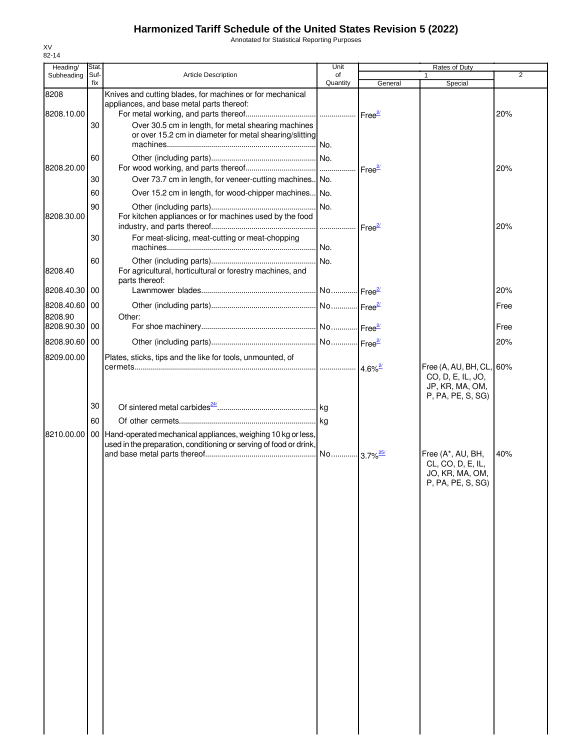Annotated for Statistical Reporting Purposes

| Heading/                 | Stat.       |                                                                                                                                       | Unit                   |                       | Rates of Duty                                                                         |                |
|--------------------------|-------------|---------------------------------------------------------------------------------------------------------------------------------------|------------------------|-----------------------|---------------------------------------------------------------------------------------|----------------|
| Subheading               | Suf-<br>fix | <b>Article Description</b>                                                                                                            | of<br>Quantity         |                       |                                                                                       | $\overline{2}$ |
| 8208                     |             | Knives and cutting blades, for machines or for mechanical<br>appliances, and base metal parts thereof:                                |                        | General               | Special                                                                               |                |
| 8208.10.00               | 30          | Over 30.5 cm in length, for metal shearing machines<br>or over 15.2 cm in diameter for metal shearing/slitting                        | No.                    |                       |                                                                                       | 20%            |
| 8208.20.00               | 60<br>30    | Over 73.7 cm in length, for veneer-cutting machines. No.                                                                              |                        | Free <sup>2/</sup>    |                                                                                       | 20%            |
|                          | 60          | Over 15.2 cm in length, for wood-chipper machines                                                                                     | No.                    |                       |                                                                                       |                |
| 8208.30.00               | 90          | For kitchen appliances or for machines used by the food                                                                               | No.<br>.               | Free <sup>27</sup>    |                                                                                       | 20%            |
|                          | 30          | For meat-slicing, meat-cutting or meat-chopping                                                                                       | No.                    |                       |                                                                                       |                |
| 8208.40                  | 60          | For agricultural, horticultural or forestry machines, and<br>parts thereof:                                                           | No.                    |                       |                                                                                       |                |
| 8208.40.30               | 00          |                                                                                                                                       | No Free <sup>2/</sup>  |                       |                                                                                       | 20%            |
| 8208.40.60 00<br>8208.90 |             | Other:                                                                                                                                |                        |                       |                                                                                       | Free           |
| 8208.90.30 00            |             |                                                                                                                                       |                        |                       |                                                                                       | Free           |
| 8208.90.60 00            |             |                                                                                                                                       |                        |                       |                                                                                       | 20%            |
| 8209.00.00               |             | Plates, sticks, tips and the like for tools, unmounted, of                                                                            |                        | $4.6\%$ <sup>2/</sup> | Free (A, AU, BH, CL, 60%<br>CO, D, E, IL, JO,<br>JP, KR, MA, OM,<br>P, PA, PE, S, SG) |                |
|                          | 30          |                                                                                                                                       |                        |                       |                                                                                       |                |
|                          | 60          |                                                                                                                                       |                        |                       |                                                                                       |                |
| 8210.00.00               |             | 00 Hand-operated mechanical appliances, weighing 10 kg or less,<br>used in the preparation, conditioning or serving of food or drink, | No 3.7% <sup>25/</sup> |                       | Free (A*, AU, BH,                                                                     | 40%            |
|                          |             |                                                                                                                                       |                        |                       | CL, CO, D, E, IL,<br>JO, KR, MA, OM,<br>P, PA, PE, S, SG)                             |                |
|                          |             |                                                                                                                                       |                        |                       |                                                                                       |                |
|                          |             |                                                                                                                                       |                        |                       |                                                                                       |                |
|                          |             |                                                                                                                                       |                        |                       |                                                                                       |                |
|                          |             |                                                                                                                                       |                        |                       |                                                                                       |                |
|                          |             |                                                                                                                                       |                        |                       |                                                                                       |                |
|                          |             |                                                                                                                                       |                        |                       |                                                                                       |                |
|                          |             |                                                                                                                                       |                        |                       |                                                                                       |                |
|                          |             |                                                                                                                                       |                        |                       |                                                                                       |                |
|                          |             |                                                                                                                                       |                        |                       |                                                                                       |                |
|                          |             |                                                                                                                                       |                        |                       |                                                                                       |                |
|                          |             |                                                                                                                                       |                        |                       |                                                                                       |                |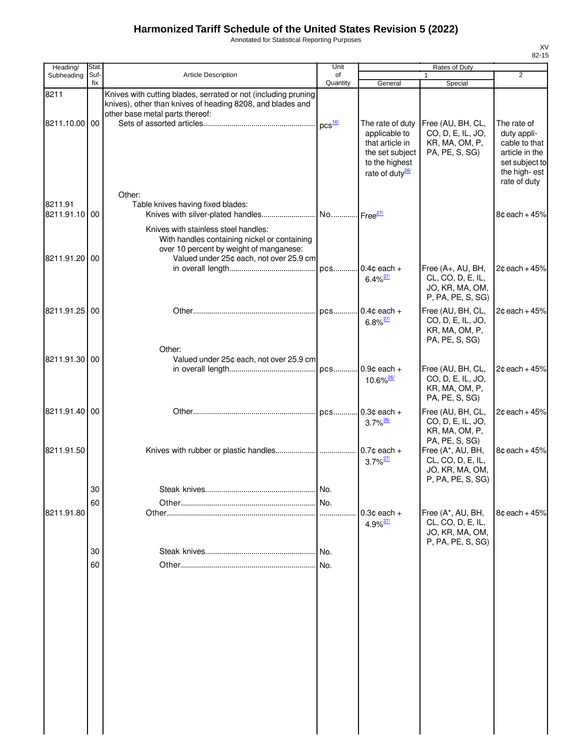Annotated for Statistical Reporting Purposes

| Heading/                 | Stat.    |                                                                                                                                                                            | Unit     |                                                                                                                          | Rates of Duty                                                                                    |                                                                                                                 |
|--------------------------|----------|----------------------------------------------------------------------------------------------------------------------------------------------------------------------------|----------|--------------------------------------------------------------------------------------------------------------------------|--------------------------------------------------------------------------------------------------|-----------------------------------------------------------------------------------------------------------------|
| Subheading               | Suf-     | Article Description                                                                                                                                                        | of       |                                                                                                                          | 1                                                                                                | $\overline{2}$                                                                                                  |
| 8211                     | fix      | Knives with cutting blades, serrated or not (including pruning<br>knives), other than knives of heading 8208, and blades and<br>other base metal parts thereof:            | Quantity | General                                                                                                                  | Special                                                                                          |                                                                                                                 |
| 8211.10.00 00            |          |                                                                                                                                                                            |          | The rate of duty<br>applicable to<br>that article in<br>the set subject<br>to the highest<br>rate of duty <sup>26/</sup> | Free (AU, BH, CL,<br>CO, D, E, IL, JO,<br>KR, MA, OM, P,<br>PA, PE, S, SG)                       | The rate of<br>duty appli-<br>cable to that<br>article in the<br>set subject to<br>the high-est<br>rate of duty |
| 8211.91<br>8211.91.10 00 |          | Other:<br>Table knives having fixed blades:                                                                                                                                |          |                                                                                                                          |                                                                                                  | $8¢$ each + 45%                                                                                                 |
| 8211.91.20 00            |          | Knives with stainless steel handles:<br>With handles containing nickel or containing<br>over 10 percent by weight of manganese:<br>Valued under 25¢ each, not over 25.9 cm |          |                                                                                                                          |                                                                                                  |                                                                                                                 |
|                          |          |                                                                                                                                                                            |          | $6.4\%$ <sup>27/</sup>                                                                                                   | Free (A+, AU, BH,<br>CL, CO, D, E, IL,<br>JO, KR, MA, OM,<br>P, PA, PE, S, SG)                   | $2¢$ each + 45%                                                                                                 |
| 8211.91.25 00            |          |                                                                                                                                                                            |          | $6.8\%$ <sup>27/</sup>                                                                                                   | Free (AU, BH, CL,<br>CO, D, E, IL, JO,<br>KR, MA, OM, P,<br>PA, PE, S, SG)                       | $2¢$ each + 45%                                                                                                 |
| 8211.91.30 00            |          | Other:<br>Valued under 25¢ each, not over 25.9 cm                                                                                                                          |          | $0.9¢$ each +<br>10.6% <sup>26/</sup>                                                                                    | Free (AU, BH, CL,<br>CO, D, E, IL, JO,<br>KR, MA, OM, P,                                         | $2¢$ each + 45%                                                                                                 |
| 8211.91.40 00            |          |                                                                                                                                                                            |          | $0.3c$ each +<br>$3.7\%$ <sup>26/</sup>                                                                                  | PA, PE, S, SG)<br>Free (AU, BH, CL,<br>CO, D, E, IL, JO,<br>KR, MA, OM, P,                       | $2¢$ each + 45%                                                                                                 |
| 8211.91.50               |          |                                                                                                                                                                            |          | $3.7\%$ <sup>27/</sup>                                                                                                   | PA, PE, S, SG)<br>Free (A*, AU, BH,<br>CL, CO, D, E, IL,<br>JO, KR, MA, OM,<br>P, PA, PE, S, SG) | $8¢$ each + $45%$                                                                                               |
|                          | 30       |                                                                                                                                                                            | I No.    |                                                                                                                          |                                                                                                  |                                                                                                                 |
|                          | 60       |                                                                                                                                                                            |          |                                                                                                                          |                                                                                                  |                                                                                                                 |
| 8211.91.80               |          |                                                                                                                                                                            |          | $0.3c$ each $+$<br>$4.9\%$ <sup>27/</sup>                                                                                | Free (A*, AU, BH,<br>CL, CO, D, E, IL,<br>JO, KR, MA, OM,<br>P, PA, PE, S, SG)                   | $8¢$ each + $45%$                                                                                               |
|                          | 30<br>60 |                                                                                                                                                                            | No.      |                                                                                                                          |                                                                                                  |                                                                                                                 |
|                          |          |                                                                                                                                                                            |          |                                                                                                                          |                                                                                                  |                                                                                                                 |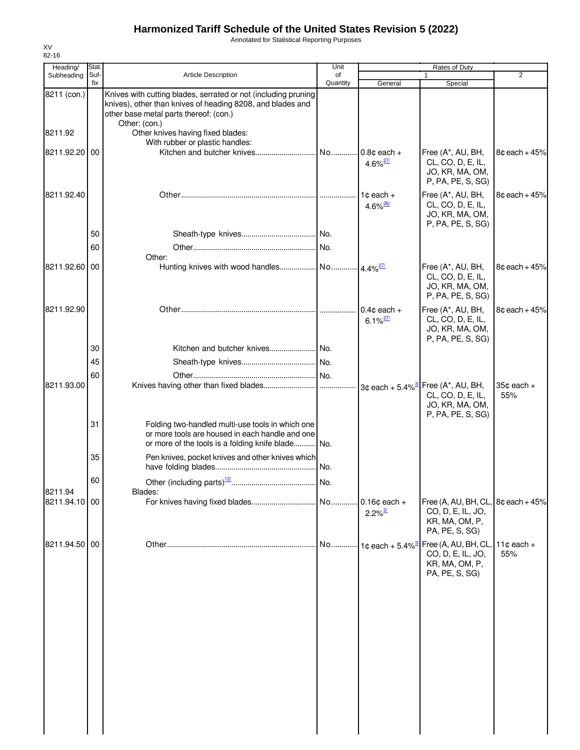Annotated for Statistical Reporting Purposes

| Heading/      | Stat.       |                                                                                                                                                                                         | Unit           |                                         | Rates of Duty                                                                                 |                               |
|---------------|-------------|-----------------------------------------------------------------------------------------------------------------------------------------------------------------------------------------|----------------|-----------------------------------------|-----------------------------------------------------------------------------------------------|-------------------------------|
| Subheading    | Suf-<br>fix | Article Description                                                                                                                                                                     | of<br>Quantity | General                                 | $\mathbf{1}$<br>Special                                                                       | 2                             |
| 8211 (con.)   |             | Knives with cutting blades, serrated or not (including pruning<br>knives), other than knives of heading 8208, and blades and<br>other base metal parts thereof: (con.)<br>Other: (con.) |                |                                         |                                                                                               |                               |
| 8211.92       |             | Other knives having fixed blades:<br>With rubber or plastic handles:                                                                                                                    |                |                                         |                                                                                               |                               |
| 8211.92.20    | 00          |                                                                                                                                                                                         |                | 4.6% $^{27/2}$                          | Free (A*, AU, BH,<br>CL, CO, D, E, IL,<br>JO, KR, MA, OM,<br>P, PA, PE, S, SG)                | $8¢$ each + 45%               |
| 8211.92.40    |             |                                                                                                                                                                                         |                | $1¢$ each $+$<br>$4.6\%$ <sup>26/</sup> | Free (A*, AU, BH,<br>CL, CO, D, E, IL,<br>JO, KR, MA, OM,<br>P, PA, PE, S, SG)                | $8¢$ each + 45%               |
|               | 50          |                                                                                                                                                                                         |                |                                         |                                                                                               |                               |
|               | 60          | Other:                                                                                                                                                                                  | No.            |                                         |                                                                                               |                               |
| 8211.92.60    | 00          |                                                                                                                                                                                         |                |                                         | Free (A*, AU, BH,<br>CL, CO, D, E, IL,<br>JO, KR, MA, OM,<br>P, PA, PE, S, SG)                | $8¢$ each + 45%               |
| 8211.92.90    |             |                                                                                                                                                                                         |                | $0.4c$ each +<br>$6.1\%$ <sup>27/</sup> | Free (A*, AU, BH,<br>CL, CO, D, E, IL,<br>JO, KR, MA, OM,<br>P, PA, PE, S, SG)                | $8¢$ each + 45%               |
|               | 30          |                                                                                                                                                                                         |                |                                         |                                                                                               |                               |
|               | 45          |                                                                                                                                                                                         |                |                                         |                                                                                               |                               |
| 8211.93.00    | 60          |                                                                                                                                                                                         |                |                                         | CL, CO, D, E, IL,<br>JO, KR, MA, OM,<br>P, PA, PE, S, SG)                                     | $35¢$ each $+$<br>55%         |
|               | 31          | Folding two-handled multi-use tools in which one<br>or more tools are housed in each handle and one<br>or more of the tools is a folding knife blade No.                                |                |                                         |                                                                                               |                               |
|               | 35          | Pen knives, pocket knives and other knives which                                                                                                                                        |                |                                         |                                                                                               |                               |
| 8211.94       | 60          | Other (including parts) <sup>12/</sup> .<br>Blades:                                                                                                                                     | No.            |                                         |                                                                                               |                               |
| 8211.94.10 00 |             |                                                                                                                                                                                         |                | $2.2\%$ <sup>2/</sup>                   | Free (A, AU, BH, CL, $8¢$ each + 45%<br>CO, D, E, IL, JO,<br>KR, MA, OM, P,<br>PA, PE, S, SG) |                               |
| 8211.94.50 00 |             |                                                                                                                                                                                         | No             | $\cdot$ 1¢ each + 5.4% $\frac{3}{2}$    | Free (A, AU, BH, CL,<br>CO, D, E, IL, JO,<br>KR, MA, OM, P,<br>PA, PE, S, SG)                 | 11 $\texttt{c}$ each +<br>55% |
|               |             |                                                                                                                                                                                         |                |                                         |                                                                                               |                               |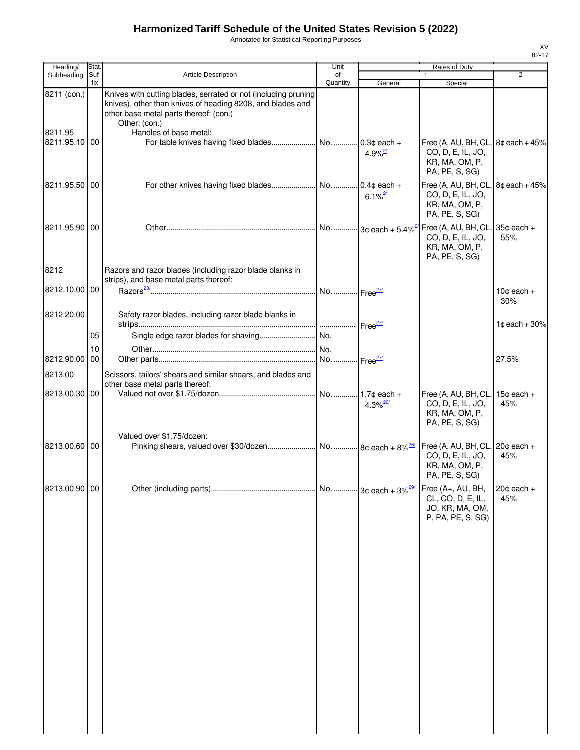Annotated for Statistical Reporting Purposes

| Heading/                 | Stat.       |                                                                                                                                                                                         | Unit           |                        | Rates of Duty                                                                                 |                               |
|--------------------------|-------------|-----------------------------------------------------------------------------------------------------------------------------------------------------------------------------------------|----------------|------------------------|-----------------------------------------------------------------------------------------------|-------------------------------|
| Subheading               | Suf-<br>fix | Article Description                                                                                                                                                                     | of<br>Quantity | General                | $\mathbf{1}$<br>Special                                                                       | 2                             |
| 8211 (con.)              |             | Knives with cutting blades, serrated or not (including pruning<br>knives), other than knives of heading 8208, and blades and<br>other base metal parts thereof: (con.)<br>Other: (con.) |                |                        |                                                                                               |                               |
| 8211.95<br>8211.95.10 00 |             | Handles of base metal:                                                                                                                                                                  |                | $4.9\%$ <sup>2/</sup>  | Free (A, AU, BH, CL, 8¢ each + 45%<br>CO, D, E, IL, JO,<br>KR, MA, OM, P,<br>PA, PE, S, SG)   |                               |
| 8211.95.50 00            |             |                                                                                                                                                                                         |                | $6.1\%$ <sup>2/</sup>  | Free (A, AU, BH, CL, $8¢$ each + 45%<br>CO, D, E, IL, JO,<br>KR, MA, OM, P,<br>PA, PE, S, SG) |                               |
| 8211.95.90 00            |             |                                                                                                                                                                                         |                |                        | Free (A, AU, BH, CL, $35¢$ each +<br>CO, D, E, IL, JO,<br>KR, MA, OM, P,<br>PA, PE, S, SG)    | 55%                           |
| 8212                     |             | Razors and razor blades (including razor blade blanks in<br>strips), and base metal parts thereof:                                                                                      |                |                        |                                                                                               |                               |
| 8212.10.00100            |             |                                                                                                                                                                                         |                |                        |                                                                                               | 10 $\texttt{c}$ each +<br>30% |
| 8212.20.00               | 05          | Safety razor blades, including razor blade blanks in                                                                                                                                    |                |                        |                                                                                               | $1¢$ each + 30%               |
|                          | 10          |                                                                                                                                                                                         |                |                        |                                                                                               |                               |
| 8212.90.00               | 00          |                                                                                                                                                                                         |                |                        |                                                                                               | 27.5%                         |
| 8213.00                  |             | Scissors, tailors' shears and similar shears, and blades and                                                                                                                            |                |                        |                                                                                               |                               |
| 8213.00.30 00            |             | other base metal parts thereof:                                                                                                                                                         |                |                        |                                                                                               |                               |
|                          |             |                                                                                                                                                                                         |                | $4.3\%$ <sup>26/</sup> | Free (A, AU, BH, CL, $15¢$ each +<br>CO, D, E, IL, JO,<br>KR, MA, OM, P,<br>PA, PE, S, SG)    | 45%                           |
| 8213.00.60 00            |             | Valued over \$1.75/dozen:                                                                                                                                                               |                |                        | Free (A, AU, BH, CL, $20¢$ each +<br>CO, D, E, IL, JO,<br>KR, MA, OM, P,<br>PA, PE, S, SG)    | 45%                           |
| 8213.00.90 00            |             |                                                                                                                                                                                         |                |                        | Free (A+, AU, BH,<br>CL, CO, D, E, IL,<br>JO, KR, MA, OM,<br>P, PA, PE, S, SG)                | $20¢$ each +<br>45%           |
|                          |             |                                                                                                                                                                                         |                |                        |                                                                                               |                               |
|                          |             |                                                                                                                                                                                         |                |                        |                                                                                               |                               |
|                          |             |                                                                                                                                                                                         |                |                        |                                                                                               |                               |
|                          |             |                                                                                                                                                                                         |                |                        |                                                                                               |                               |
|                          |             |                                                                                                                                                                                         |                |                        |                                                                                               |                               |
|                          |             |                                                                                                                                                                                         |                |                        |                                                                                               |                               |
|                          |             |                                                                                                                                                                                         |                |                        |                                                                                               |                               |
|                          |             |                                                                                                                                                                                         |                |                        |                                                                                               |                               |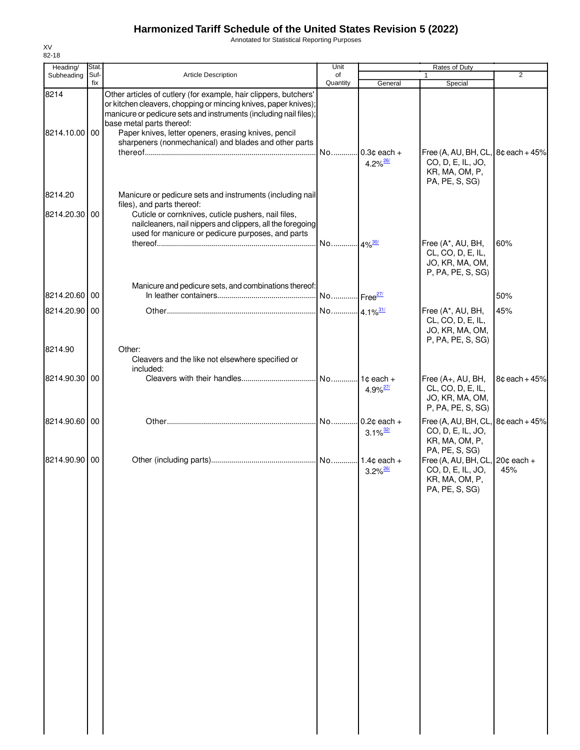Annotated for Statistical Reporting Purposes

| Heading/                 | Stat.       |                                                                                                                                                                                                                                                                                                                                                        | Unit                   |                                         | Rates of Duty                                                                                                |                 |
|--------------------------|-------------|--------------------------------------------------------------------------------------------------------------------------------------------------------------------------------------------------------------------------------------------------------------------------------------------------------------------------------------------------------|------------------------|-----------------------------------------|--------------------------------------------------------------------------------------------------------------|-----------------|
| Subheading               | Suf-<br>fix | <b>Article Description</b>                                                                                                                                                                                                                                                                                                                             | of<br>Quantity         | General                                 | 1<br>Special                                                                                                 | $\overline{2}$  |
| 8214<br>8214.10.00 00    |             | Other articles of cutlery (for example, hair clippers, butchers'<br>or kitchen cleavers, chopping or mincing knives, paper knives);<br>manicure or pedicure sets and instruments (including nail files);<br>base metal parts thereof:<br>Paper knives, letter openers, erasing knives, pencil<br>sharpeners (nonmechanical) and blades and other parts | No                     | $0.3c$ each +<br>$4.2\%$ <sup>26/</sup> | Free (A, AU, BH, CL, 8¢ each + 45%<br>CO, D, E, IL, JO,<br>KR, MA, OM, P,                                    |                 |
|                          |             |                                                                                                                                                                                                                                                                                                                                                        |                        |                                         | PA, PE, S, SG)                                                                                               |                 |
| 8214.20<br>8214.20.30 00 |             | Manicure or pedicure sets and instruments (including nail<br>files), and parts thereof:<br>Cuticle or cornknives, cuticle pushers, nail files,<br>nailcleaners, nail nippers and clippers, all the foregoing<br>used for manicure or pedicure purposes, and parts                                                                                      | No 4% <sup>30/</sup>   |                                         | Free (A*, AU, BH,                                                                                            | 60%             |
|                          |             |                                                                                                                                                                                                                                                                                                                                                        |                        |                                         | CL, CO, D, E, IL,<br>JO, KR, MA, OM,<br>P, PA, PE, S, SG)                                                    |                 |
| 8214.20.60 00            |             | Manicure and pedicure sets, and combinations thereof:                                                                                                                                                                                                                                                                                                  | No Free <sup>27/</sup> |                                         |                                                                                                              | 50%             |
| 8214.20.90 00            |             |                                                                                                                                                                                                                                                                                                                                                        |                        |                                         | Free (A*, AU, BH,<br>CL, CO, D, E, IL,<br>JO, KR, MA, OM,<br>P, PA, PE, S, SG)                               | 45%             |
| 8214.90                  |             | Other:<br>Cleavers and the like not elsewhere specified or<br>included:                                                                                                                                                                                                                                                                                |                        |                                         |                                                                                                              |                 |
| 8214.90.30 00            |             |                                                                                                                                                                                                                                                                                                                                                        |                        | $4.9\%$ <sup>27/</sup>                  | Free (A+, AU, BH,<br>CL, CO, D, E, IL,<br>JO, KR, MA, OM,<br>P, PA, PE, S, SG)                               | $8¢$ each + 45% |
| 8214.90.60 00            |             |                                                                                                                                                                                                                                                                                                                                                        |                        | $3.1\%$ <sup>32/</sup>                  | Free (A, AU, BH, CL<br>CO, D, E, IL, JO,<br>KR, MA, OM, P,                                                   | $8¢$ each + 45% |
| 8214.90.90 00            |             |                                                                                                                                                                                                                                                                                                                                                        |                        | $3.2\%$ <sup>26/</sup>                  | PA, PE, S, SG)<br>Free (A, AU, BH, CL, $20¢$ each +<br>CO, D, E, IL, JO,<br>KR, MA, OM, P,<br>PA, PE, S, SG) | 45%             |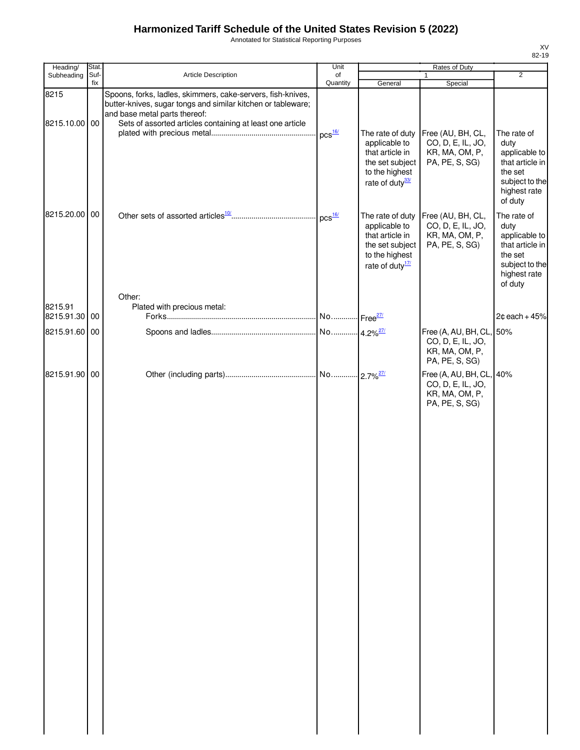Annotated for Statistical Reporting Purposes

| Heading/              | Stat.       |                                                                                                                                                                                                                           | Unit           | Rates of Duty                                                                                                            |                                                                                   |                                                                                                                 |
|-----------------------|-------------|---------------------------------------------------------------------------------------------------------------------------------------------------------------------------------------------------------------------------|----------------|--------------------------------------------------------------------------------------------------------------------------|-----------------------------------------------------------------------------------|-----------------------------------------------------------------------------------------------------------------|
| Subheading            | Suf-<br>fix | Article Description                                                                                                                                                                                                       | of<br>Quantity | General                                                                                                                  | $\mathbf{1}$<br>Special                                                           | $\overline{2}$                                                                                                  |
| 8215<br>8215.10.00 00 |             | Spoons, forks, ladles, skimmers, cake-servers, fish-knives,<br>butter-knives, sugar tongs and similar kitchen or tableware;<br>and base metal parts thereof:<br>Sets of assorted articles containing at least one article |                |                                                                                                                          |                                                                                   |                                                                                                                 |
|                       |             |                                                                                                                                                                                                                           | $DCS$ $16/$    | The rate of duty<br>applicable to<br>that article in<br>the set subject<br>to the highest<br>rate of duty <sup>33/</sup> | Free (AU, BH, CL,<br>CO, D, E, IL, JO,<br>KR, MA, OM, P,<br>PA, PE, S, SG)        | The rate of<br>duty<br>applicable to<br>that article in<br>the set<br>subject to the<br>highest rate<br>of duty |
| 8215.20.00 00         |             |                                                                                                                                                                                                                           | $DCS$ $16/$    | The rate of duty<br>applicable to<br>that article in<br>the set subject<br>to the highest<br>rate of duty <sup>17/</sup> | Free (AU, BH, CL,<br>CO, D, E, IL, JO,<br>KR, MA, OM, P,<br>PA, PE, S, SG)        | The rate of<br>duty<br>applicable to<br>that article in<br>the set<br>subject to the<br>highest rate<br>of duty |
| 8215.91               |             | Other:<br>Plated with precious metal:                                                                                                                                                                                     |                |                                                                                                                          |                                                                                   |                                                                                                                 |
| 8215.91.30 00         |             |                                                                                                                                                                                                                           |                |                                                                                                                          |                                                                                   | $2¢$ each + 45%                                                                                                 |
| 8215.91.60 00         |             |                                                                                                                                                                                                                           |                |                                                                                                                          | Free (A, AU, BH, CL, 50%<br>CO, D, E, IL, JO,<br>KR, MA, OM, P,<br>PA, PE, S, SG) |                                                                                                                 |
| 8215.91.90 00         |             |                                                                                                                                                                                                                           |                |                                                                                                                          | Free (A, AU, BH, CL, 40%<br>CO, D, E, IL, JO,<br>KR, MA, OM, P,<br>PA, PE, S, SG) |                                                                                                                 |
|                       |             |                                                                                                                                                                                                                           |                |                                                                                                                          |                                                                                   |                                                                                                                 |
|                       |             |                                                                                                                                                                                                                           |                |                                                                                                                          |                                                                                   |                                                                                                                 |
|                       |             |                                                                                                                                                                                                                           |                |                                                                                                                          |                                                                                   |                                                                                                                 |
|                       |             |                                                                                                                                                                                                                           |                |                                                                                                                          |                                                                                   |                                                                                                                 |
|                       |             |                                                                                                                                                                                                                           |                |                                                                                                                          |                                                                                   |                                                                                                                 |
|                       |             |                                                                                                                                                                                                                           |                |                                                                                                                          |                                                                                   |                                                                                                                 |
|                       |             |                                                                                                                                                                                                                           |                |                                                                                                                          |                                                                                   |                                                                                                                 |
|                       |             |                                                                                                                                                                                                                           |                |                                                                                                                          |                                                                                   |                                                                                                                 |
|                       |             |                                                                                                                                                                                                                           |                |                                                                                                                          |                                                                                   |                                                                                                                 |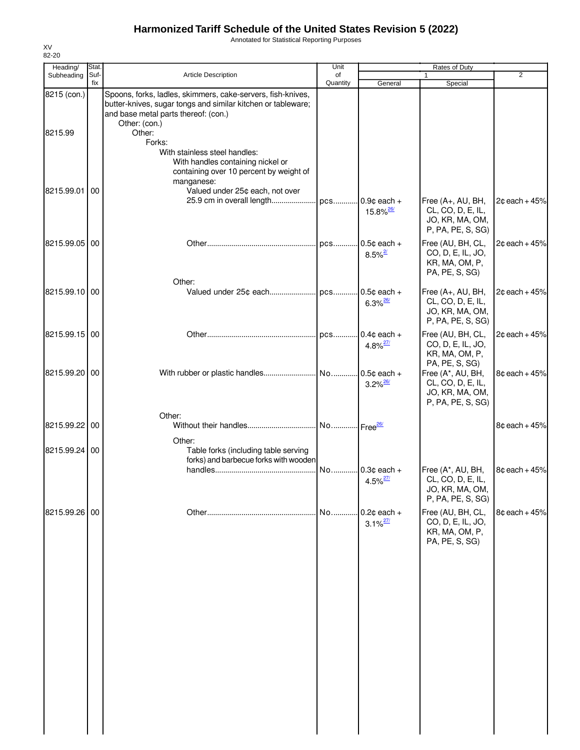Annotated for Statistical Reporting Purposes

| Heading/               | Stat.       |                                                                                                                                                                                      | Unit                   |                                           | Rates of Duty                                                                  |                 |
|------------------------|-------------|--------------------------------------------------------------------------------------------------------------------------------------------------------------------------------------|------------------------|-------------------------------------------|--------------------------------------------------------------------------------|-----------------|
| Subheading             | Suf-<br>fix | <b>Article Description</b>                                                                                                                                                           | of<br>Quantity         | General                                   | 1<br>Special                                                                   | $\overline{2}$  |
| 8215 (con.)<br>8215.99 |             | Spoons, forks, ladles, skimmers, cake-servers, fish-knives,<br>butter-knives, sugar tongs and similar kitchen or tableware;<br>and base metal parts thereof: (con.)<br>Other: (con.) |                        |                                           |                                                                                |                 |
|                        |             | Other:<br>Forks:<br>With stainless steel handles:<br>With handles containing nickel or<br>containing over 10 percent by weight of<br>manganese:                                      |                        |                                           |                                                                                |                 |
| 8215.99.01             | 00          | Valued under 25¢ each, not over<br>25.9 cm in overall length                                                                                                                         | pcs                    | $.0.9¢$ each +<br>$15.8\%$ <sup>26/</sup> | Free (A+, AU, BH,<br>CL, CO, D, E, IL,<br>JO, KR, MA, OM,<br>P, PA, PE, S, SG) | $2¢$ each + 45% |
| 8215.99.05 00          |             | Other:                                                                                                                                                                               | pcs                    | $0.5¢$ each +<br>$8.5\%$ <sup>2/</sup>    | Free (AU, BH, CL,<br>CO, D, E, IL, JO,<br>KR, MA, OM, P,<br>PA, PE, S, SG)     | $2¢$ each + 45% |
| 8215.99.10 00          |             |                                                                                                                                                                                      |                        | $0.5¢$ each +<br>$6.3\%$ <sup>26/</sup>   | Free (A+, AU, BH,<br>CL, CO, D, E, IL,<br>JO, KR, MA, OM,<br>P, PA, PE, S, SG) | $2¢$ each + 45% |
| 8215.99.15 00          |             |                                                                                                                                                                                      | pcs                    | $0.4¢$ each +<br>$4.8\%$ <sup>27/</sup>   | Free (AU, BH, CL,<br>CO, D, E, IL, JO,<br>KR, MA, OM, P,<br>PA, PE, S, SG)     | $2¢$ each + 45% |
| 8215.99.20 00          |             | Other:                                                                                                                                                                               |                        | $.0.5¢$ each +<br>$3.2\%$ <sup>26/</sup>  | Free (A*, AU, BH,<br>CL, CO, D, E, IL,<br>JO, KR, MA, OM,<br>P, PA, PE, S, SG) | 8¢ each + 45%   |
| 8215.99.22             | 00          | Other:                                                                                                                                                                               | No Free <sup>26/</sup> |                                           |                                                                                | $8¢$ each + 45% |
| 8215.99.24 00          |             | Table forks (including table serving<br>forks) and barbecue forks with wooden                                                                                                        | No                     | $.0.3¢$ each +                            | Free (A*, AU, BH,                                                              | 8¢ each + 45%   |
|                        |             |                                                                                                                                                                                      |                        | $4.5\%$ <sup>27/</sup>                    | CL, CO, D, E, IL,<br>JO, KR, MA, OM,<br>P, PA, PE, S, SG)                      |                 |
| 8215.99.26 00          |             |                                                                                                                                                                                      | No                     | $.0.2$ ¢ each +<br>$3.1\%$ <sup>27/</sup> | Free (AU, BH, CL,<br>CO, D, E, IL, JO,<br>KR, MA, OM, P,<br>PA, PE, S, SG)     | $8¢$ each + 45% |
|                        |             |                                                                                                                                                                                      |                        |                                           |                                                                                |                 |
|                        |             |                                                                                                                                                                                      |                        |                                           |                                                                                |                 |
|                        |             |                                                                                                                                                                                      |                        |                                           |                                                                                |                 |
|                        |             |                                                                                                                                                                                      |                        |                                           |                                                                                |                 |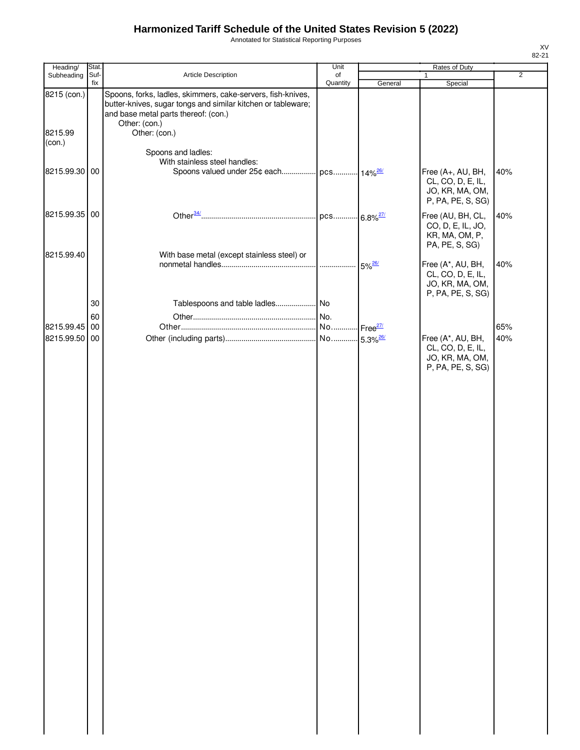Annotated for Statistical Reporting Purposes

| Heading/                 | Stat.       |                                                                                                                                                                     | Unit                                             |                      | Rates of Duty                                                                  |                |
|--------------------------|-------------|---------------------------------------------------------------------------------------------------------------------------------------------------------------------|--------------------------------------------------|----------------------|--------------------------------------------------------------------------------|----------------|
| Subheading               | Suf-<br>fix | Article Description                                                                                                                                                 | of<br>Quantity                                   |                      | $\mathbf{1}$                                                                   | $\overline{2}$ |
| 8215 (con.)              |             | Spoons, forks, ladles, skimmers, cake-servers, fish-knives,<br>butter-knives, sugar tongs and similar kitchen or tableware;<br>and base metal parts thereof: (con.) |                                                  | General              | Special                                                                        |                |
| 8215.99<br>(con.)        |             | Other: (con.)<br>Other: (con.)                                                                                                                                      |                                                  |                      |                                                                                |                |
| 8215.99.30 00            |             | Spoons and ladles:<br>With stainless steel handles:<br>Spoons valued under 25¢ each pcs 14% <sup>26/</sup>                                                          |                                                  |                      | Free (A+, AU, BH,                                                              | 40%            |
|                          |             |                                                                                                                                                                     |                                                  |                      | CL, CO, D, E, IL,<br>JO, KR, MA, OM,<br>P, PA, PE, S, SG)                      |                |
| 8215.99.35 00            |             |                                                                                                                                                                     |                                                  |                      | Free (AU, BH, CL,<br>CO, D, E, IL, JO,<br>KR, MA, OM, P,<br>PA, PE, S, SG)     | 40%            |
| 8215.99.40               |             | With base metal (except stainless steel) or                                                                                                                         |                                                  | $5\%$ <sup>26/</sup> | Free (A*, AU, BH,<br>CL, CO, D, E, IL,<br>JO, KR, MA, OM,<br>P, PA, PE, S, SG) | 40%            |
|                          | 30          |                                                                                                                                                                     |                                                  |                      |                                                                                |                |
|                          | 60          |                                                                                                                                                                     |                                                  |                      |                                                                                |                |
| 8215.99.45<br>8215.99.50 | 00<br>00    |                                                                                                                                                                     | No Free <sup>27/</sup><br>No 5.3% <sup>26/</sup> |                      | Free (A*, AU, BH,                                                              | 65%<br>40%     |
|                          |             |                                                                                                                                                                     |                                                  |                      | CL, CO, D, E, IL,<br>JO, KR, MA, OM,<br>P, PA, PE, S, SG)                      |                |
|                          |             |                                                                                                                                                                     |                                                  |                      |                                                                                |                |
|                          |             |                                                                                                                                                                     |                                                  |                      |                                                                                |                |
|                          |             |                                                                                                                                                                     |                                                  |                      |                                                                                |                |
|                          |             |                                                                                                                                                                     |                                                  |                      |                                                                                |                |
|                          |             |                                                                                                                                                                     |                                                  |                      |                                                                                |                |
|                          |             |                                                                                                                                                                     |                                                  |                      |                                                                                |                |
|                          |             |                                                                                                                                                                     |                                                  |                      |                                                                                |                |
|                          |             |                                                                                                                                                                     |                                                  |                      |                                                                                |                |
|                          |             |                                                                                                                                                                     |                                                  |                      |                                                                                |                |